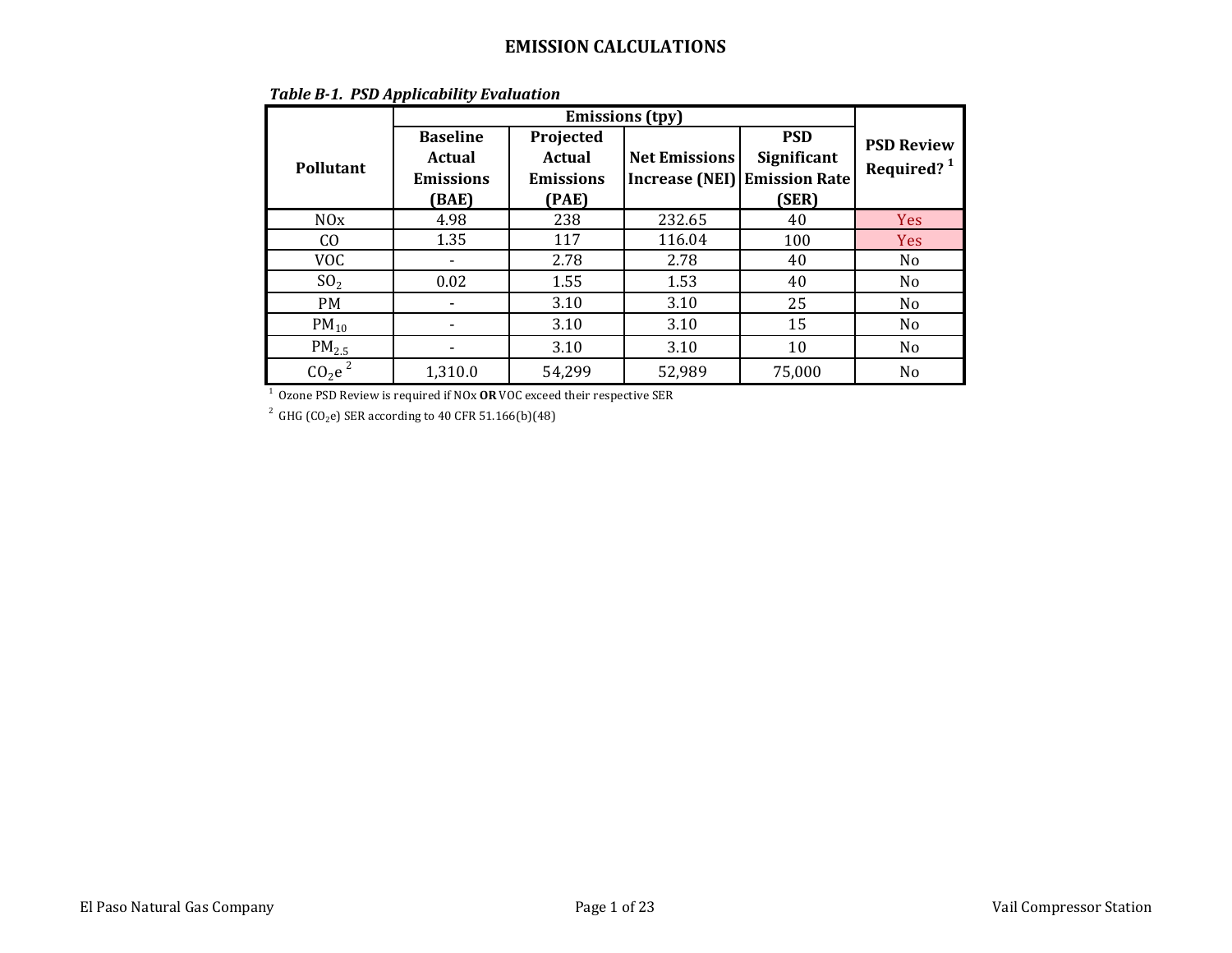|                                                                        | <b>Baseline</b>  | Projected        |                       | <b>PSD</b>           | <b>PSD Review</b>      |
|------------------------------------------------------------------------|------------------|------------------|-----------------------|----------------------|------------------------|
| Pollutant                                                              | Actual           | <b>Actual</b>    | <b>Net Emissions</b>  | Significant          | Required? <sup>1</sup> |
|                                                                        | <b>Emissions</b> | <b>Emissions</b> | <b>Increase (NEI)</b> | <b>Emission Rate</b> |                        |
|                                                                        | (BAE)            | (PAE)            |                       | (SER)                |                        |
| N0x                                                                    | 4.98             | 238              | 232.65                | 40                   | Yes                    |
| CO.                                                                    | 1.35             | 117              | 116.04                | 100                  | <b>Yes</b>             |
| <b>VOC</b>                                                             |                  | 2.78             | 2.78                  | 40                   | No                     |
| SO <sub>2</sub>                                                        | 0.02             | 1.55             | 1.53                  | 40                   | N <sub>0</sub>         |
| <b>PM</b>                                                              |                  | 3.10             | 3.10                  | 25                   | N <sub>0</sub>         |
| $PM_{10}$                                                              |                  | 3.10             | 3.10                  | 15                   | N <sub>0</sub>         |
| $PM_{2.5}$                                                             |                  | 3.10             | 3.10                  | 10                   | N <sub>0</sub>         |
| CO <sub>2</sub> e <sup>2</sup>                                         | 1,310.0          | 54,299           | 52,989                | 75,000               | N <sub>0</sub>         |
| Ozone PSD Review is required if NOx OR VOC exceed their respective SER |                  |                  |                       |                      |                        |

### *Table B-1. PSD Applicability Evaluation*

 $^2$  GHG (CO<sub>2</sub>e) SER according to 40 CFR 51.166(b)(48)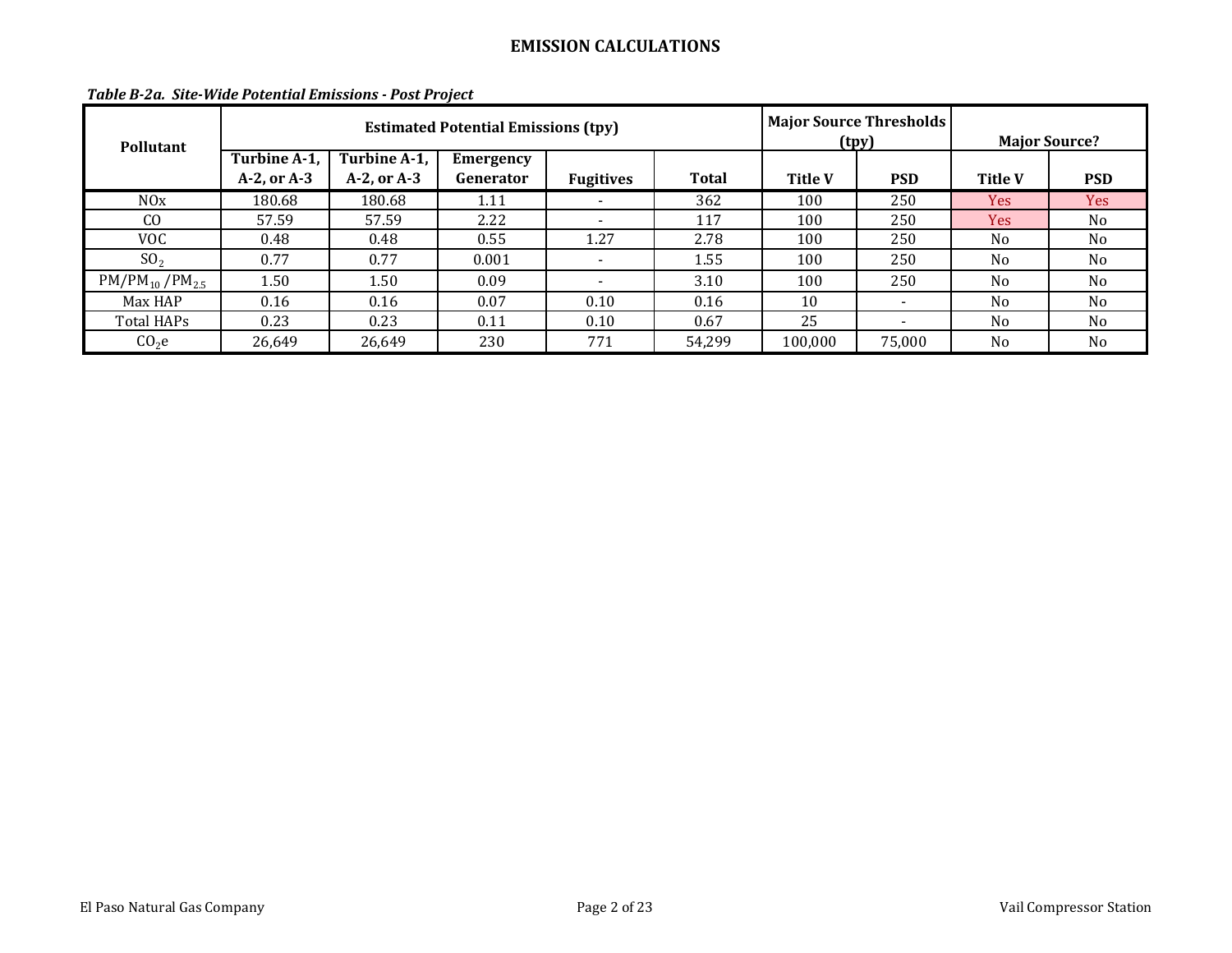| <b>Pollutant</b>     |                                  |                                  | <b>Estimated Potential Emissions (tpy)</b> |                          | (tpy)        | <b>Major Source Thresholds</b> | <b>Major Source?</b>     |                |                |
|----------------------|----------------------------------|----------------------------------|--------------------------------------------|--------------------------|--------------|--------------------------------|--------------------------|----------------|----------------|
|                      | Turbine A-1,<br>$A-2$ , or $A-3$ | Turbine A-1,<br>$A-2$ , or $A-3$ | Emergency<br>Generator                     | <b>Fugitives</b>         | <b>Total</b> | <b>Title V</b>                 | <b>PSD</b>               | <b>Title V</b> | <b>PSD</b>     |
| NOx                  | 180.68                           | 180.68                           | 1.11                                       | $\overline{\phantom{0}}$ | 362          | 100                            | 250                      | Yes:           | Yes            |
| C <sub>O</sub>       | 57.59                            | 57.59                            | 2.22                                       | $\overline{\phantom{0}}$ | 117          | 100                            | 250                      | Yes:           | N <sub>o</sub> |
| VOC.                 | 0.48                             | 0.48                             | 0.55                                       | 1.27                     | 2.78         | 100                            | 250                      | N <sub>0</sub> | N <sub>0</sub> |
| SO <sub>2</sub>      | 0.77                             | 0.77                             | 0.001                                      | $\sim$                   | 1.55         | 100                            | 250                      | N <sub>0</sub> | N <sub>0</sub> |
| $PM/PM_{10}/PM_{25}$ | 1.50                             | 1.50                             | 0.09                                       |                          | 3.10         | 100                            | 250                      | N <sub>o</sub> | N <sub>o</sub> |
| Max HAP              | 0.16                             | 0.16                             | 0.07                                       | 0.10                     | 0.16         | 10                             | $\overline{\phantom{a}}$ | N <sub>o</sub> | N <sub>o</sub> |
| Total HAPs           | 0.23                             | 0.23                             | 0.11                                       | 0.10                     | 0.67         | 25                             |                          | N <sub>0</sub> | N <sub>o</sub> |
| CO <sub>2</sub> e    | 26,649                           | 26,649                           | 230                                        | 771                      | 54,299       | 100,000                        | 75,000                   | N <sub>0</sub> | N <sub>o</sub> |

### *Table B-2a. Site-Wide Potential Emissions - Post Project*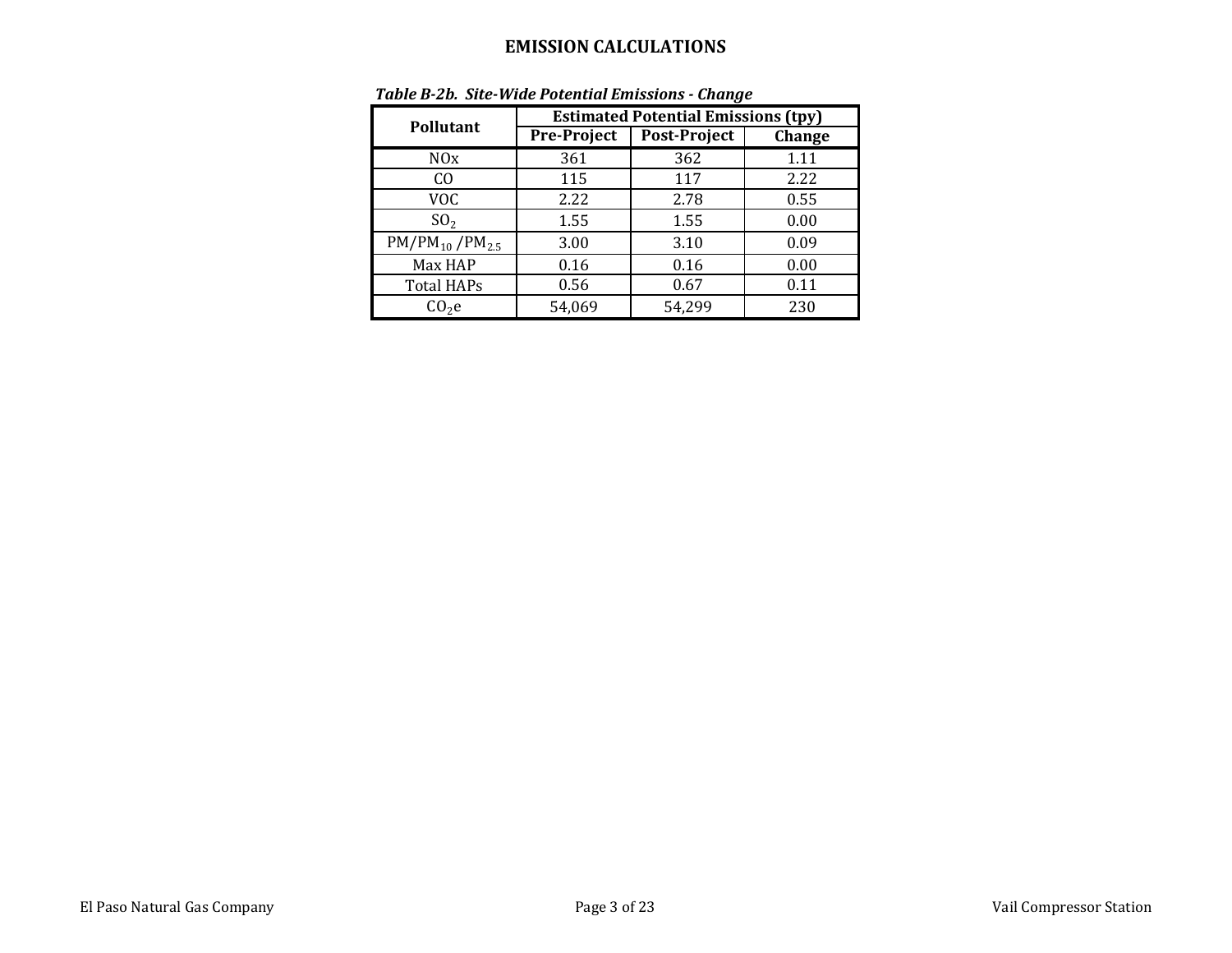|                       | <b>Estimated Potential Emissions (tpy)</b> |                     |        |  |  |  |  |
|-----------------------|--------------------------------------------|---------------------|--------|--|--|--|--|
| <b>Pollutant</b>      | <b>Pre-Project</b>                         | <b>Post-Project</b> | Change |  |  |  |  |
| N0x                   | 361                                        | 362                 | 1.11   |  |  |  |  |
| CО                    | 115                                        | 117                 | 2.22   |  |  |  |  |
| VOC                   | 2.22                                       | 2.78                | 0.55   |  |  |  |  |
| SO <sub>2</sub>       | 1.55                                       | 1.55                | 0.00   |  |  |  |  |
| $PM/PM_{10}/PM_{2.5}$ | 3.00                                       | 3.10                | 0.09   |  |  |  |  |
| Max HAP               | 0.16                                       | 0.16                | 0.00   |  |  |  |  |
| <b>Total HAPs</b>     | 0.56                                       | 0.67                | 0.11   |  |  |  |  |
| CO <sub>2</sub> e     | 54,069                                     | 54,299              | 230    |  |  |  |  |

### *Table B-2b. Site-Wide Potential Emissions - Change*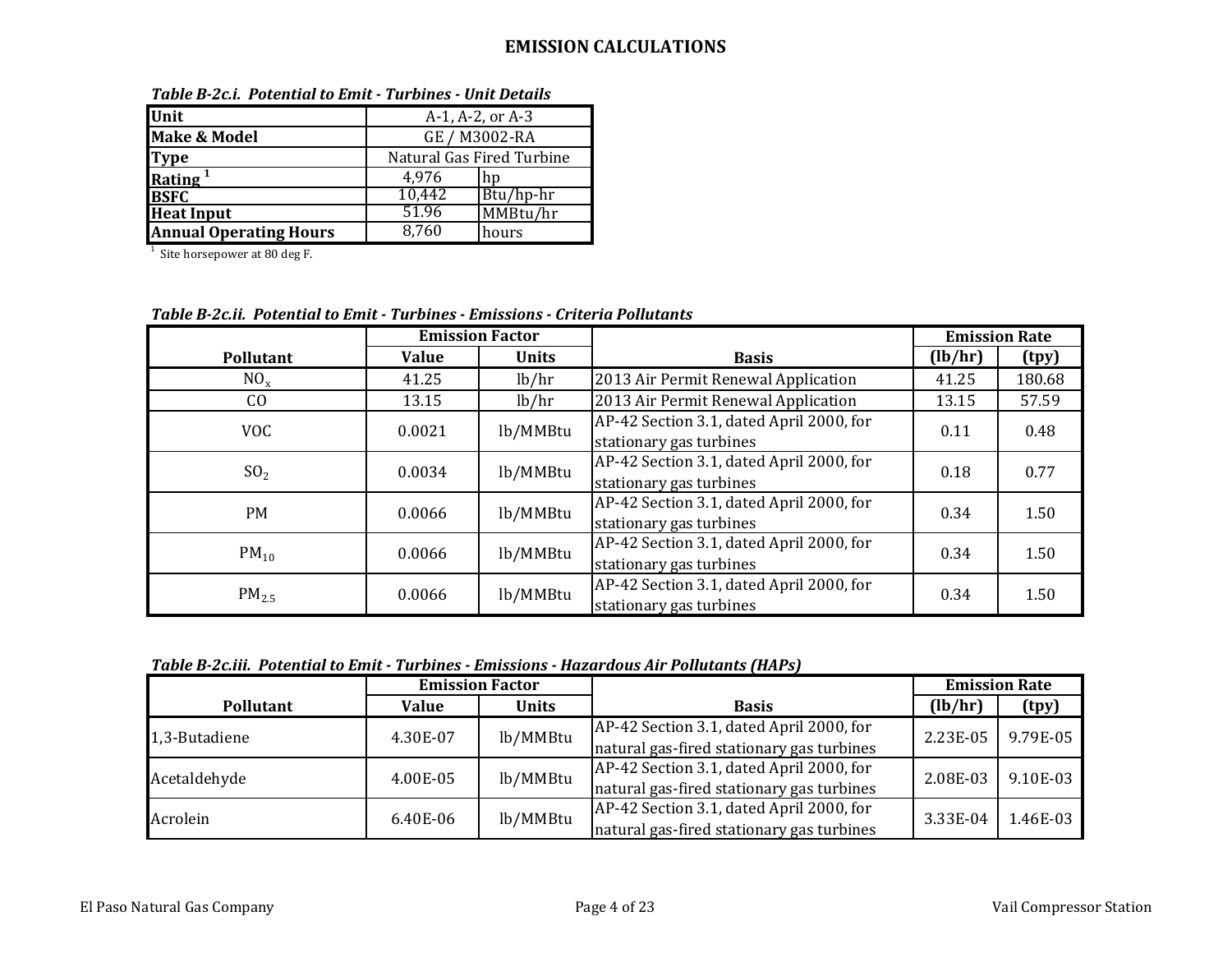| Unit                          |                           | A-1, A-2, or A-3 |  |
|-------------------------------|---------------------------|------------------|--|
| <b>Make &amp; Model</b>       |                           | GE / M3002-RA    |  |
| <b>Type</b>                   | Natural Gas Fired Turbine |                  |  |
| Rating $1$                    | 4,976                     | hn               |  |
| <b>BSFC</b>                   | 10,442                    | Btu/hp-hr        |  |
| <b>Heat Input</b>             | 51.96                     | MMBtu/hr         |  |
| <b>Annual Operating Hours</b> | 8,760                     | hours            |  |
| Site horsepower at 80 deg F.  |                           |                  |  |

*Table B-2c.i. Potential to Emit - Turbines - Unit Details*

*Table B-2c.ii. Potential to Emit - Turbines - Emissions - Criteria Pollutants*

|                   | <b>Emission Factor</b> |              |                                                                     | <b>Emission Rate</b> |        |
|-------------------|------------------------|--------------|---------------------------------------------------------------------|----------------------|--------|
| <b>Pollutant</b>  | <b>Value</b>           | <b>Units</b> | <b>Basis</b>                                                        | (lb/hr)              | (tpy)  |
| $NO_{x}$          | 41.25                  | lb/hr        | 2013 Air Permit Renewal Application                                 | 41.25                | 180.68 |
| CO                | 13.15                  | lb/hr        | 2013 Air Permit Renewal Application                                 | 13.15                | 57.59  |
| <b>VOC</b>        | 0.0021                 | lb/MMBtu     | AP-42 Section 3.1, dated April 2000, for<br>stationary gas turbines | 0.11                 | 0.48   |
| SO <sub>2</sub>   | 0.0034                 | lb/MMBtu     | AP-42 Section 3.1, dated April 2000, for<br>stationary gas turbines | 0.18                 | 0.77   |
| <b>PM</b>         | 0.0066                 | lb/MMBtu     | AP-42 Section 3.1, dated April 2000, for<br>stationary gas turbines | 0.34                 | 1.50   |
| $PM_{10}$         | 0.0066                 | lb/MMBtu     | AP-42 Section 3.1, dated April 2000, for<br>stationary gas turbines | 0.34                 | 1.50   |
| PM <sub>2.5</sub> | 0.0066                 | lb/MMBtu     | AP-42 Section 3.1, dated April 2000, for<br>stationary gas turbines | 0.34                 | 1.50   |

*Table B-2c.iii. Potential to Emit - Turbines - Emissions - Hazardous Air Pollutants (HAPs)*

| <b>Emission Factor</b> |                       |          | <b>Emission Rate</b>                      |          |          |
|------------------------|-----------------------|----------|-------------------------------------------|----------|----------|
| <b>Pollutant</b>       | <b>Units</b><br>Value |          | <b>Basis</b>                              | (lb/hr)  | (tpy)    |
| 1,3-Butadiene          | lb/MMBtu<br>4.30E-07  |          | AP-42 Section 3.1, dated April 2000, for  | 2.23E-05 | 9.79E-05 |
|                        |                       |          | natural gas-fired stationary gas turbines |          |          |
|                        |                       | lb/MMBtu | AP-42 Section 3.1, dated April 2000, for  | 2.08E-03 | 9.10E-03 |
| Acetaldehyde           | 4.00E-05              |          | natural gas-fired stationary gas turbines |          |          |
| Acrolein               | 6.40E-06              | lb/MMBtu | AP-42 Section 3.1, dated April 2000, for  | 3.33E-04 | 1.46E-03 |
|                        |                       |          | natural gas-fired stationary gas turbines |          |          |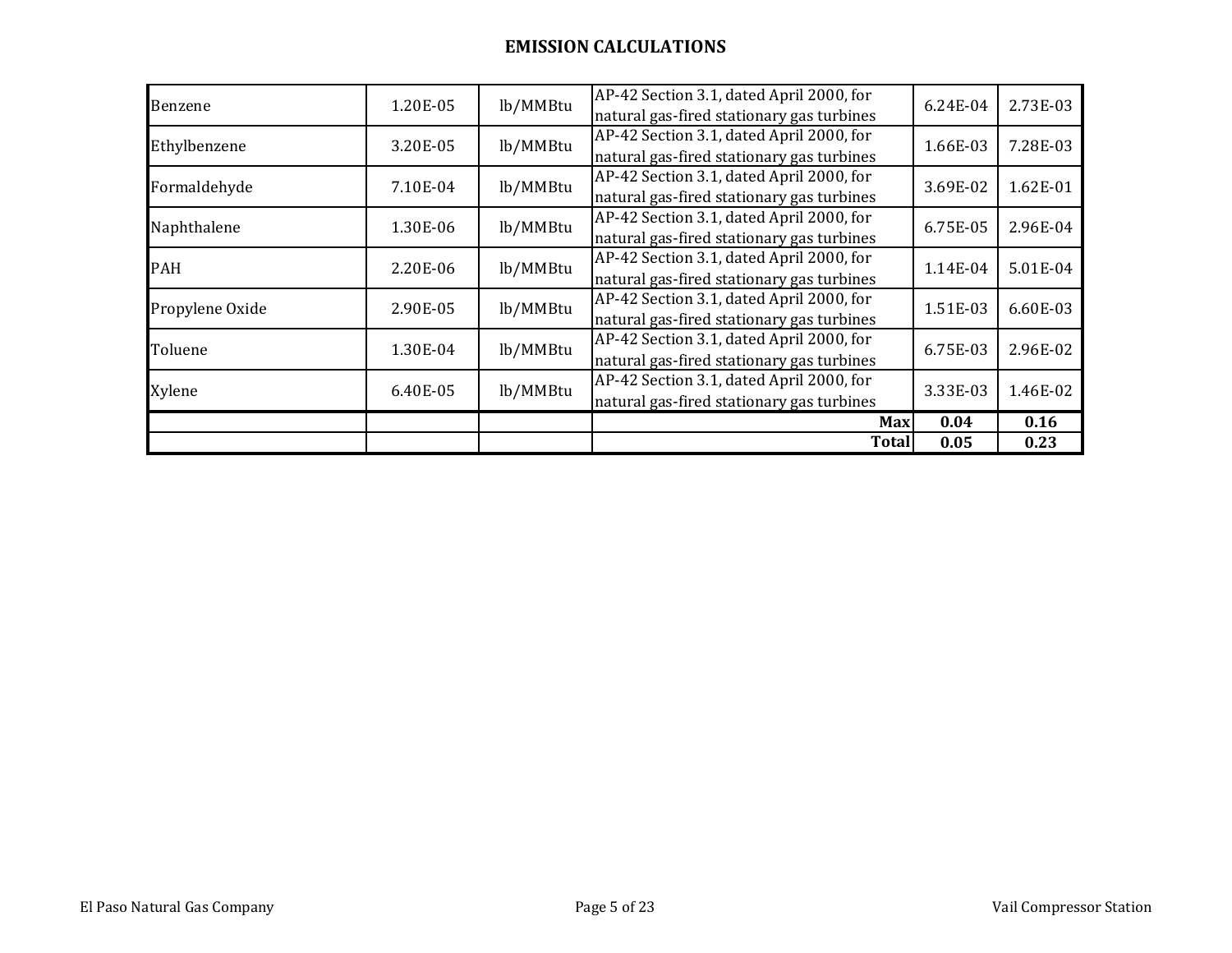|                 |          |          | <b>Total</b>                                                                          | 0.05     | 0.23     |
|-----------------|----------|----------|---------------------------------------------------------------------------------------|----------|----------|
|                 |          |          | Max                                                                                   | 0.04     | 0.16     |
| Xylene          | 6.40E-05 | lb/MMBtu | AP-42 Section 3.1, dated April 2000, for<br>natural gas-fired stationary gas turbines | 3.33E-03 | 1.46E-02 |
| Toluene         | 1.30E-04 | lb/MMBtu | AP-42 Section 3.1, dated April 2000, for<br>natural gas-fired stationary gas turbines | 6.75E-03 | 2.96E-02 |
| Propylene Oxide | 2.90E-05 | lb/MMBtu | AP-42 Section 3.1, dated April 2000, for<br>natural gas-fired stationary gas turbines | 1.51E-03 | 6.60E-03 |
| <b>PAH</b>      | 2.20E-06 | lb/MMBtu | AP-42 Section 3.1, dated April 2000, for<br>natural gas-fired stationary gas turbines | 1.14E-04 | 5.01E-04 |
| Naphthalene     | 1.30E-06 | lb/MMBtu | AP-42 Section 3.1, dated April 2000, for<br>natural gas-fired stationary gas turbines | 6.75E-05 | 2.96E-04 |
| Formaldehyde    | 7.10E-04 | lb/MMBtu | AP-42 Section 3.1, dated April 2000, for<br>natural gas-fired stationary gas turbines | 3.69E-02 | 1.62E-01 |
| Ethylbenzene    | 3.20E-05 | lb/MMBtu | AP-42 Section 3.1, dated April 2000, for<br>natural gas-fired stationary gas turbines | 1.66E-03 | 7.28E-03 |
| Benzene         | 1.20E-05 | lb/MMBtu | AP-42 Section 3.1, dated April 2000, for<br>natural gas-fired stationary gas turbines | 6.24E-04 | 2.73E-03 |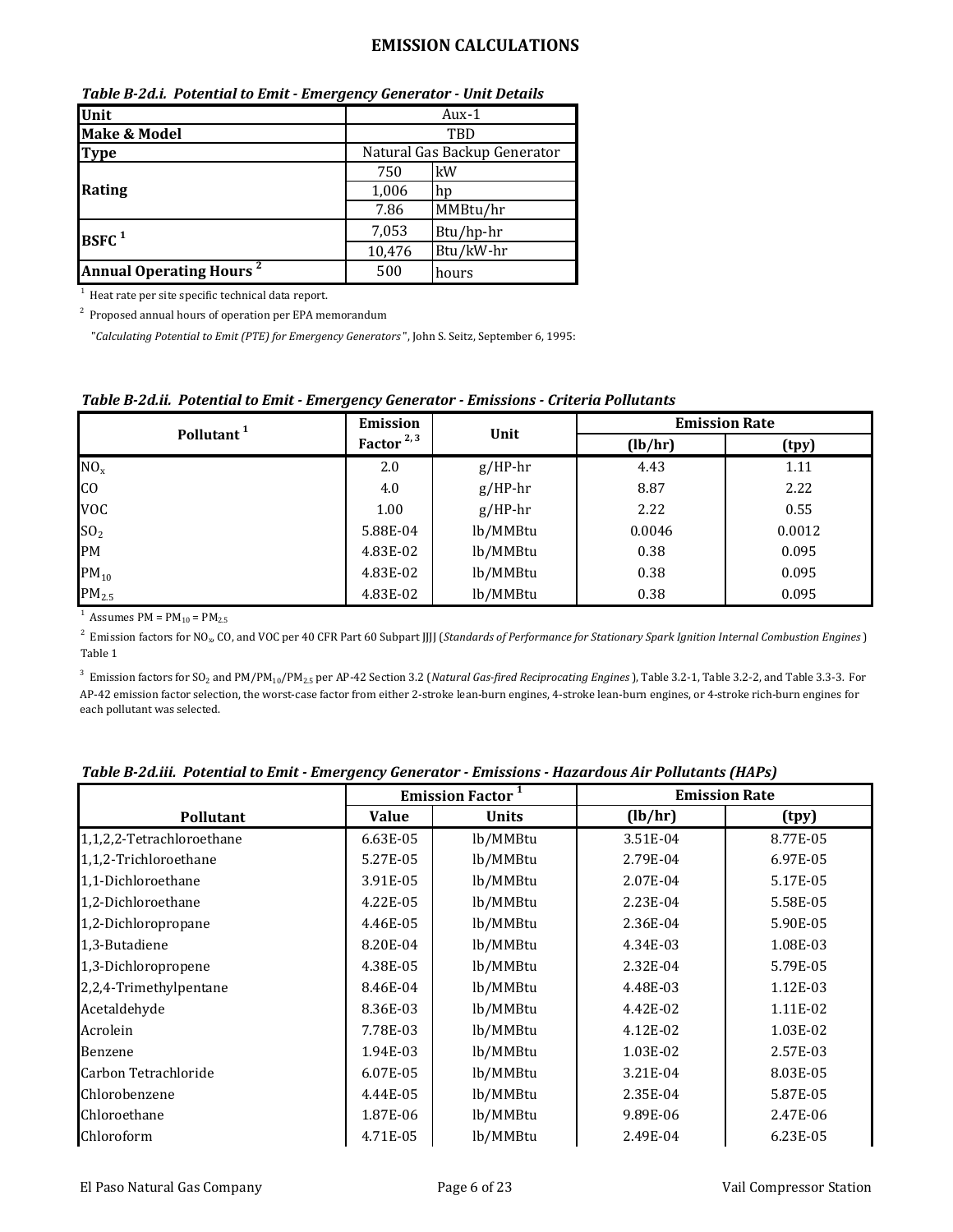| Unit                                      | Aux-1                        |           |  |
|-------------------------------------------|------------------------------|-----------|--|
| <b>Make &amp; Model</b>                   | TBD                          |           |  |
| <b>Type</b>                               | Natural Gas Backup Generator |           |  |
|                                           | 750                          | kW        |  |
| Rating                                    | 1,006                        | , hp      |  |
|                                           | 7.86                         | MMBtu/hr  |  |
| $B$ SFC $1$                               | 7,053                        | Btu/hp-hr |  |
|                                           | 10,476                       | Btu/kW-hr |  |
| <b>Annual Operating Hours<sup>2</sup></b> | 500                          | hours     |  |

*Table B-2d.i. Potential to Emit - Emergency Generator - Unit Details*

1 Heat rate per site specific technical data report.

2 Proposed annual hours of operation per EPA memorandum

"*Calculating Potential to Emit (PTE) for Emergency Generators*", John S. Seitz, September 6, 1995:

| ້                      |              |           |         |                      |
|------------------------|--------------|-----------|---------|----------------------|
| Pollutant <sup>1</sup> | Emission     | Unit      |         | <b>Emission Rate</b> |
|                        | Factor $2,3$ |           | (lb/hr) | (tpy)                |
| NO <sub>x</sub>        | 2.0          | $g/HP-hr$ | 4.43    | 1.11                 |
| CO                     | 4.0          | $g/HP-hr$ | 8.87    | 2.22                 |
| <b>VOC</b>             | 1.00         | $g/HP-hr$ | 2.22    | 0.55                 |
| SO <sub>2</sub>        | 5.88E-04     | lb/MMBtu  | 0.0046  | 0.0012               |
| PM                     | 4.83E-02     | lb/MMBtu  | 0.38    | 0.095                |
| $PM_{10}$              | 4.83E-02     | lb/MMBtu  | 0.38    | 0.095                |
| PM <sub>2.5</sub>      | 4.83E-02     | lb/MMBtu  | 0.38    | 0.095                |

### *Table B-2d.ii. Potential to Emit - Emergency Generator - Emissions - Criteria Pollutants*

<sup>1</sup> Assumes PM =  $PM_{10} = PM_{2.5}$ 

2 Emission factors for NO<sub>x</sub>, CO, and VOC per 40 CFR Part 60 Subpart JJJJ (*Standards of Performance for Stationary Spark Ignition Internal Combustion Engines*) Table 1

3 Emission factors for SO2 and PM/PM10/PM2.5 per AP-42 Section 3.2 (*Natural Gas-fired Reciprocating Engines*), Table 3.2-1, Table 3.2-2, and Table 3.3-3*.* For AP-42 emission factor selection, the worst-case factor from either 2-stroke lean-burn engines, 4-stroke lean-burn engines, or 4-stroke rich-burn engines for each pollutant was selected.

|                           | <b>Emission Factor<sup>1</sup></b> |              |          | <b>Emission Rate</b> |
|---------------------------|------------------------------------|--------------|----------|----------------------|
| Pollutant                 | <b>Value</b>                       | <b>Units</b> | (lb/hr)  | (tpy)                |
| 1,1,2,2-Tetrachloroethane | 6.63E-05                           | lb/MMBtu     | 3.51E-04 | 8.77E-05             |
| 1,1,2-Trichloroethane     | 5.27E-05                           | lb/MMBtu     | 2.79E-04 | 6.97E-05             |
| 1,1-Dichloroethane        | 3.91E-05                           | lb/MMBtu     | 2.07E-04 | 5.17E-05             |
| 1,2-Dichloroethane        | 4.22E-05                           | lb/MMBtu     | 2.23E-04 | 5.58E-05             |
| 1,2-Dichloropropane       | 4.46E-05                           | lb/MMBtu     | 2.36E-04 | 5.90E-05             |
| 1,3-Butadiene             | 8.20E-04                           | lb/MMBtu     | 4.34E-03 | 1.08E-03             |
| 1,3-Dichloropropene       | 4.38E-05                           | lb/MMBtu     | 2.32E-04 | 5.79E-05             |
| 2,2,4-Trimethylpentane    | 8.46E-04                           | lb/MMBtu     | 4.48E-03 | 1.12E-03             |
| Acetaldehyde              | 8.36E-03                           | lb/MMBtu     | 4.42E-02 | 1.11E-02             |
| Acrolein                  | 7.78E-03                           | lb/MMBtu     | 4.12E-02 | 1.03E-02             |
| Benzene                   | 1.94E-03                           | lb/MMBtu     | 1.03E-02 | 2.57E-03             |
| Carbon Tetrachloride      | 6.07E-05                           | lb/MMBtu     | 3.21E-04 | 8.03E-05             |
| Chlorobenzene             | 4.44E-05                           | lb/MMBtu     | 2.35E-04 | 5.87E-05             |
| Chloroethane              | 1.87E-06                           | lb/MMBtu     | 9.89E-06 | 2.47E-06             |
| Chloroform                | 4.71E-05                           | lb/MMBtu     | 2.49E-04 | 6.23E-05             |

| Table B-2d.iii. Potential to Emit - Emergency Generator - Emissions - Hazardous Air Pollutants (HAPs) |  |  |  |
|-------------------------------------------------------------------------------------------------------|--|--|--|
|-------------------------------------------------------------------------------------------------------|--|--|--|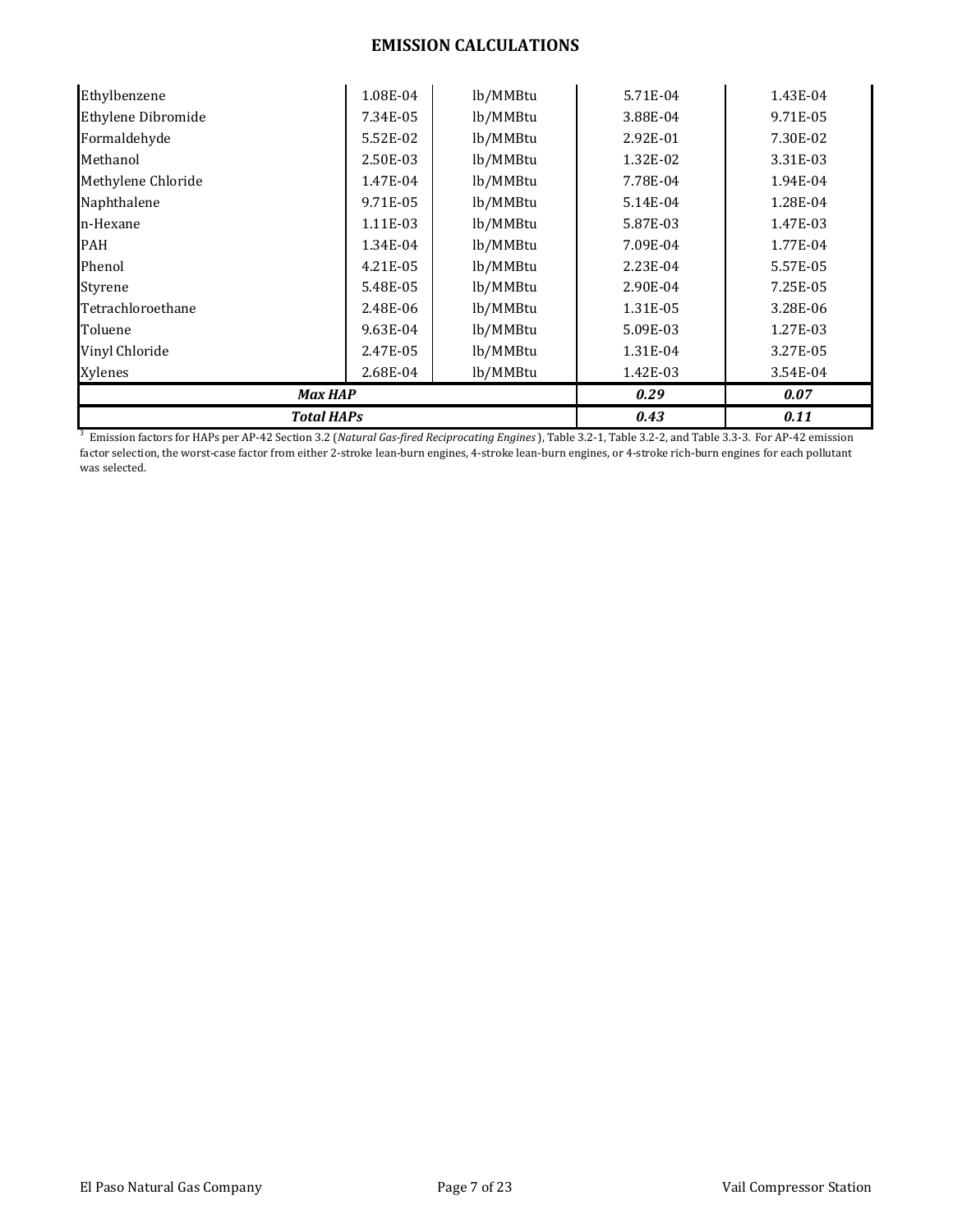| <b>Total HAPs</b>         | 0.43     | 0.11     |          |          |
|---------------------------|----------|----------|----------|----------|
| <b>Max HAP</b>            | 0.29     | 0.07     |          |          |
| Xylenes                   | 2.68E-04 | lb/MMBtu | 1.42E-03 | 3.54E-04 |
| Vinyl Chloride            | 2.47E-05 | lb/MMBtu | 1.31E-04 | 3.27E-05 |
| Toluene                   | 9.63E-04 | lb/MMBtu | 5.09E-03 | 1.27E-03 |
| Tetrachloroethane         | 2.48E-06 | lb/MMBtu | 1.31E-05 | 3.28E-06 |
| Styrene                   | 5.48E-05 | lb/MMBtu | 2.90E-04 | 7.25E-05 |
| Phenol                    | 4.21E-05 | lb/MMBtu | 2.23E-04 | 5.57E-05 |
| <b>PAH</b>                | 1.34E-04 | lb/MMBtu | 7.09E-04 | 1.77E-04 |
| n-Hexane                  | 1.11E-03 | lb/MMBtu | 5.87E-03 | 1.47E-03 |
| Naphthalene               | 9.71E-05 | lb/MMBtu | 5.14E-04 | 1.28E-04 |
| Methylene Chloride        | 1.47E-04 | lb/MMBtu | 7.78E-04 | 1.94E-04 |
| Methanol                  | 2.50E-03 | lb/MMBtu | 1.32E-02 | 3.31E-03 |
| Formaldehyde              | 5.52E-02 | lb/MMBtu | 2.92E-01 | 7.30E-02 |
| <b>Ethylene Dibromide</b> | 7.34E-05 | lb/MMBtu | 3.88E-04 | 9.71E-05 |
| Ethylbenzene              | 1.08E-04 | lb/MMBtu | 5.71E-04 | 1.43E-04 |

3 Emission factors for HAPs per AP-42 Section 3.2 (*Natural Gas-fired Reciprocating Engines*), Table 3.2-1, Table 3.2-2, and Table 3.3-3*.* For AP-42 emission factor selection, the worst-case factor from either 2-stroke lean-burn engines, 4-stroke lean-burn engines, or 4-stroke rich-burn engines for each pollutant was selected.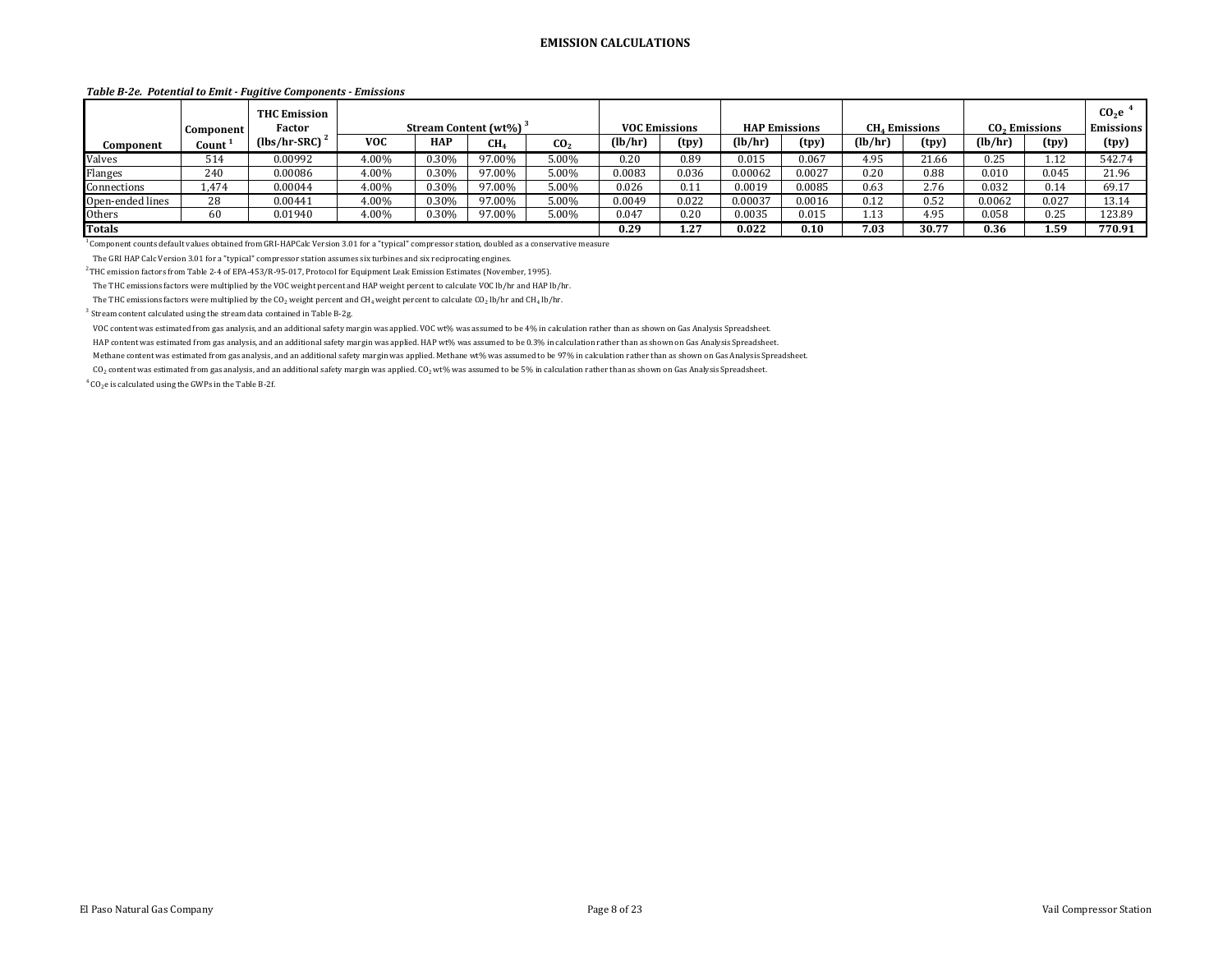#### *Table B-2e. Potential to Emit - Fugitive Components - Emissions*

|                  | Component          | <b>THC Emission</b><br>Factor |            |            | Stream Content (wt%) <sup>3</sup> |                 | <b>VOC Emissions</b> |       |         | <b>HAP Emissions</b> | <b>CH<sub>4</sub></b> Emissions |       |         | CO <sub>2</sub> Emissions | CO <sub>2</sub> e<br><b>Emissions</b> |
|------------------|--------------------|-------------------------------|------------|------------|-----------------------------------|-----------------|----------------------|-------|---------|----------------------|---------------------------------|-------|---------|---------------------------|---------------------------------------|
| Component        | Count <sup>2</sup> | $(lbs/hr-SRC)$                | <b>VOC</b> | <b>HAP</b> | CH <sub>4</sub>                   | CO <sub>2</sub> | (lb/hr)              | (tpy) | (lb/hr) | (tpy)                | (lb/hr)                         | (tpy) | (lb/hr) | (tpy)                     | (tpy)                                 |
| Valves           | 514                | 0.00992                       | 4.00%      | 0.30%      | 97.00%                            | 5.00%           | 0.20                 | 0.89  | 0.015   | 0.067                | 4.95                            | 21.66 | 0.25    | 1.12                      | 542.74                                |
| Flanges          | 240                | 0.00086                       | 4.00%      | 0.30%      | 97.00%                            | 5.00%           | 0.0083               | 0.036 | 0.00062 | 0.0027               | 0.20                            | 0.88  | 0.010   | 0.045                     | 21.96                                 |
| Connections      | 1,474              | 0.00044                       | 4.00%      | 0.30%      | 97.00%                            | 5.00%           | 0.026                | 0.11  | 0.0019  | 0.0085               | 0.63                            | 2.76  | 0.032   | 0.14                      | 69.17                                 |
| Open-ended lines | 28                 | 0.00441                       | 4.00%      | 0.30%      | 97.00%                            | 5.00%           | 0.0049               | 0.022 | 0.00037 | 0.0016               | 0.12                            | 0.52  | 0.0062  | 0.027                     | 13.14                                 |
| Others           |                    | 0.01940                       | 4.00%      | 0.30%      | 97.00%                            | 5.00%           | 0.047                | 0.20  | 0.0035  | 0.015                | 1.13                            | 4.95  | 0.058   | 0.25                      | 123.89                                |
| <b>Totals</b>    |                    |                               |            |            |                                   |                 | 0.29                 | 1.27  | 0.022   | 0.10                 | 7.03                            | 30.77 | 0.36    | 1.59                      | 770.91                                |

 $1$  Component counts default values obtained from GRI-HAPCalc Version 3.01 for a "typical" compressor station, doubled as a conservative measure

The GRI HAP Calc Version 3.01 for a "typical" compressor station assumes six turbines and six reciprocating engines.

 $2$  THC emission factors from Table 2-4 of EPA-453/R-95-017, Protocol for Equipment Leak Emission Estimates (November, 1995).

The THC emissions factors were multiplied by the VOC weight percent and HAP weight percent to calculate VOC lb/hr and HAP lb/hr.

The THC emissions factors were multiplied by the CO<sub>2</sub> weight percent and CH<sub>4</sub> weight percent to calculate CO<sub>2</sub> lb/hr and CH<sub>4</sub> lb/hr.

3 Stream content calculated using the stream data contained in Table B-2g.

VOC content was estimated from gas analysis, and an additional safety margin was applied. VOC wt% was assumed to be 4% in calculation rather than as shown on Gas Analysis Spreadsheet.

HAP content was estimated from gas analysis, and an additional safety margin was applied. HAP wt% was assumed to be 0.3% in calculation rather than as shown on Gas Analysis Spreadsheet.

Methane content was estimated from gas analysis, and an additional safety margin was applied. Methane wt% was assumed to be 97% in calculation rather than as shown on Gas Analysis Spreadsheet.

CO<sub>2</sub> content was estimated from gas analysis, and an additional safety margin was applied. CO<sub>2</sub> wt% was assumed to be 5% in calculation rather than as shown on Gas Analysis Spreadsheet.

 $4^4$  CO<sub>2</sub>e is calculated using the GWPs in the Table B-2f.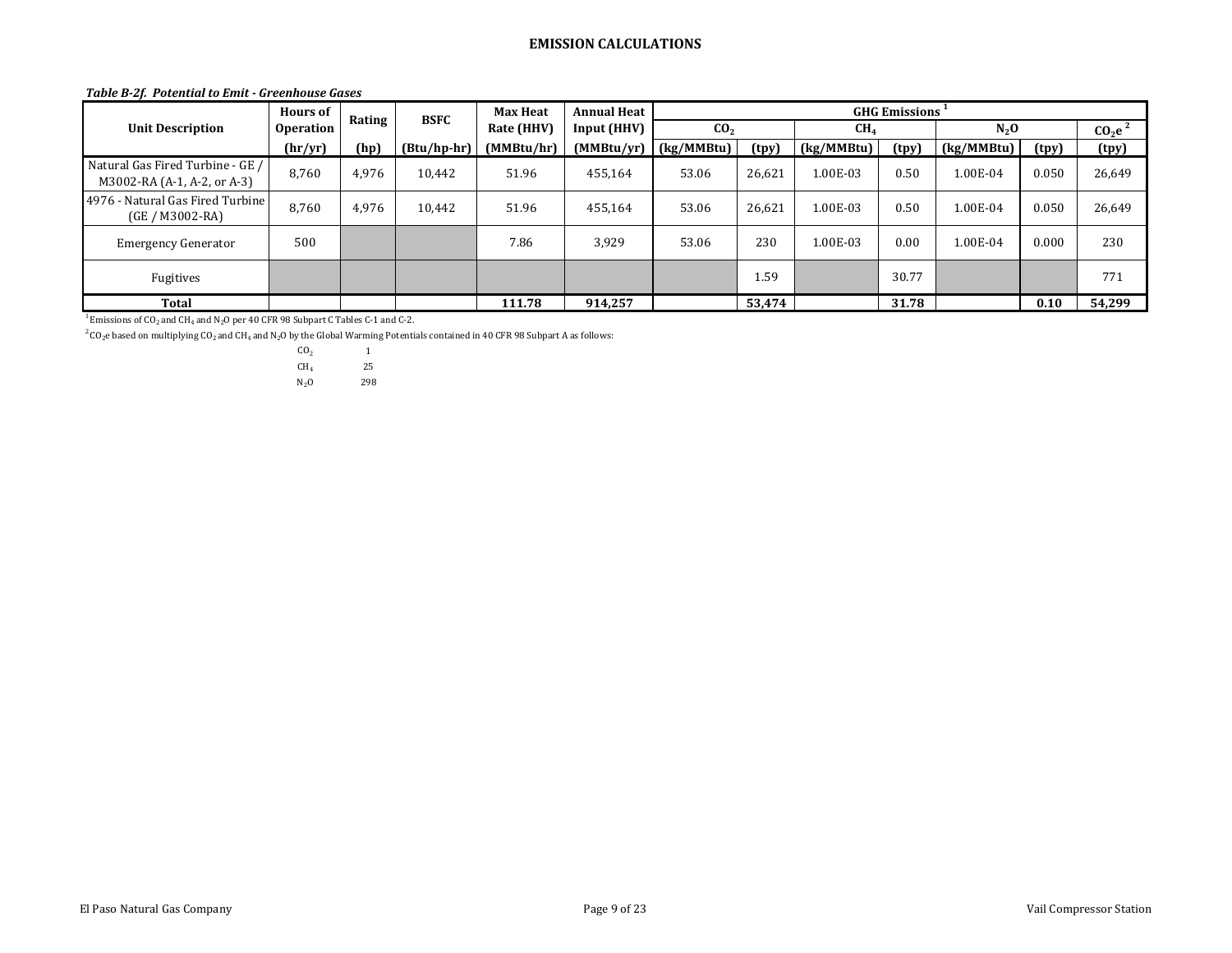#### *Table B-2f. Potential to Emit - Greenhouse Gases*

|                                                                 | <b>Hours of</b>  | Rating | <b>BSFC</b>   | <b>Max Heat</b> | <b>Annual Heat</b> | <b>GHG Emissions</b> |        |                 |       |            |       |                                |
|-----------------------------------------------------------------|------------------|--------|---------------|-----------------|--------------------|----------------------|--------|-----------------|-------|------------|-------|--------------------------------|
| <b>Unit Description</b>                                         | <b>Operation</b> |        |               | Rate (HHV)      | Input (HHV)        | CO <sub>2</sub>      |        | CH <sub>4</sub> |       | $N_2$ O    |       | CO <sub>2</sub> e <sup>2</sup> |
|                                                                 | (hr/yr)          | (hp)   | $(Btu/hp-hr)$ | (MMBtu/hr)      | (MMBtu/yr)         | (kg/MMBtu)           | (tpy)  | (kg/MMBtu)      | (tpy) | (kg/MMBtu) | (tpy) | (tpy)                          |
| Natural Gas Fired Turbine - GE /<br>M3002-RA (A-1, A-2, or A-3) | 8,760            | 4,976  | 10.442        | 51.96           | 455,164            | 53.06                | 26,621 | 1.00E-03        | 0.50  | $1.00E-04$ | 0.050 | 26,649                         |
| 4976 - Natural Gas Fired Turbine<br>$(GE/M3002-RA)$             | 8,760            | 4,976  | 10.442        | 51.96           | 455,164            | 53.06                | 26,621 | 1.00E-03        | 0.50  | 1.00E-04   | 0.050 | 26,649                         |
| <b>Emergency Generator</b>                                      | 500              |        |               | 7.86            | 3,929              | 53.06                | 230    | 1.00E-03        | 0.00  | 1.00E-04   | 0.000 | 230                            |
| Fugitives                                                       |                  |        |               |                 |                    |                      | 1.59   |                 | 30.77 |            |       | 771                            |
| <b>Total</b>                                                    |                  |        |               | 111.78          | 914,257            |                      | 53,474 |                 | 31.78 |            | 0.10  | 54,299                         |

 $1$  Emissions of CO<sub>2</sub> and CH<sub>4</sub> and N<sub>2</sub>O per 40 CFR 98 Subpart C Tables C-1 and C-2.

 $^2$  CO<sub>2</sub>e based on multiplying CO<sub>2</sub> and CH<sub>4</sub> and N<sub>2</sub>O by the Global Warming Potentials contained in 40 CFR 98 Subpart A as follows: CO<sub>2</sub> 1

 $CO<sub>2</sub>$  1<br>CH<sub>4</sub> 25  $CH<sub>4</sub>$  $N_2O$  298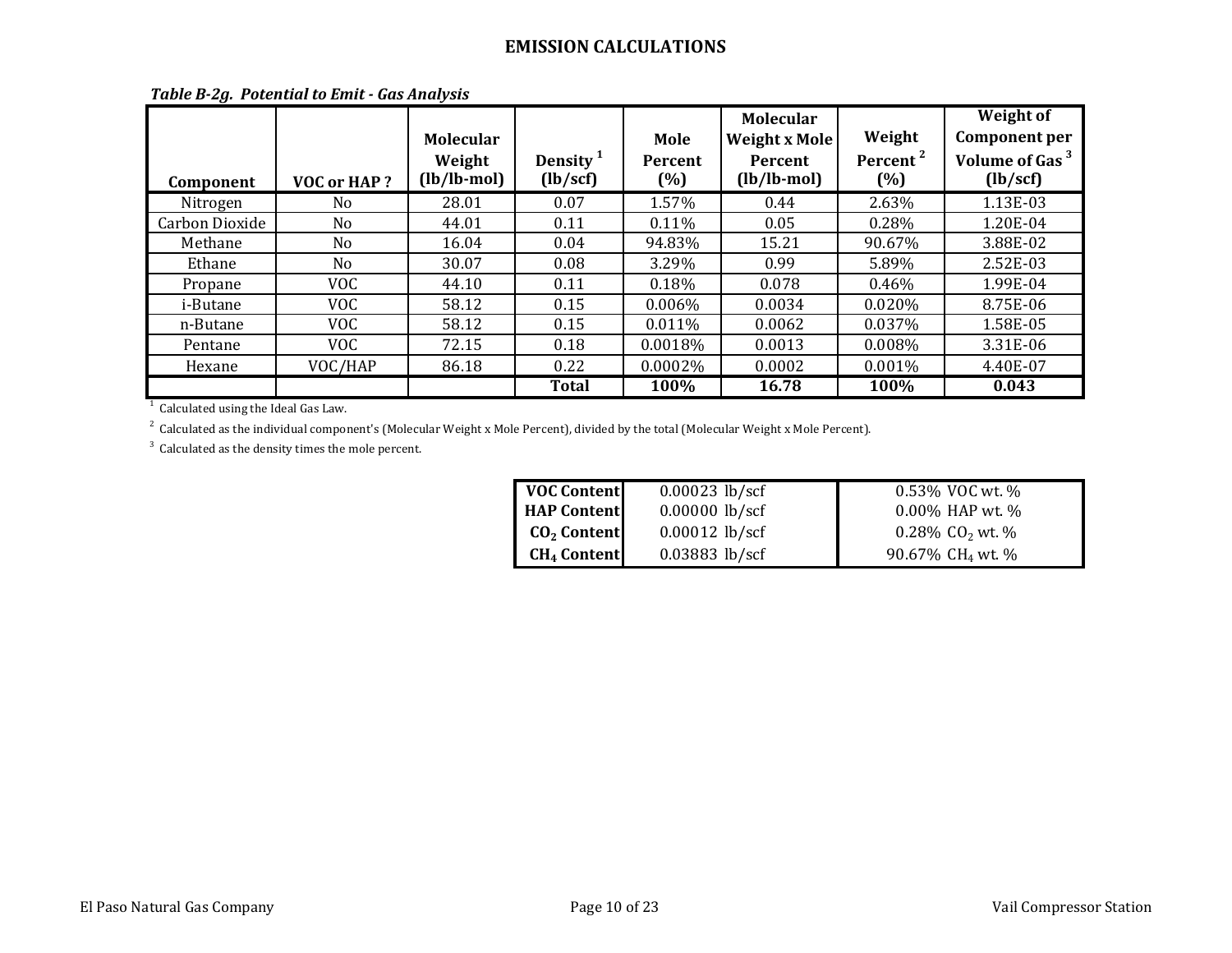| Component             | VOC or HAP? | <b>Molecular</b><br>Weight<br>$(lb/lb$ -mol $)$ | Density <sup>1</sup><br>(lb/secf) | Mole<br><b>Percent</b><br>(%) | <b>Molecular</b><br><b>Weight x Mole</b><br><b>Percent</b><br>$(lb/lb$ -mol $)$ | Weight<br>Percent <sup>2</sup><br>(%) | Weight of<br><b>Component per</b><br>Volume of Gas <sup>3</sup><br>(lb/secf) |
|-----------------------|-------------|-------------------------------------------------|-----------------------------------|-------------------------------|---------------------------------------------------------------------------------|---------------------------------------|------------------------------------------------------------------------------|
| Nitrogen              | No.         | 28.01                                           | 0.07                              | 1.57%                         | 0.44                                                                            | 2.63%                                 | 1.13E-03                                                                     |
| <b>Carbon Dioxide</b> | No.         | 44.01                                           | 0.11                              | 0.11%                         | 0.05                                                                            | 0.28%                                 | 1.20E-04                                                                     |
| Methane               | No          | 16.04                                           | 0.04                              | 94.83%                        | 15.21                                                                           | 90.67%                                | 3.88E-02                                                                     |
| Ethane                | No.         | 30.07                                           | 0.08                              | 3.29%                         | 0.99                                                                            | 5.89%                                 | 2.52E-03                                                                     |
| Propane               | <b>VOC</b>  | 44.10                                           | 0.11                              | 0.18%                         | 0.078                                                                           | $0.46\%$                              | 1.99E-04                                                                     |
| <i>i</i> -Butane      | <b>VOC</b>  | 58.12                                           | 0.15                              | $0.006\%$                     | 0.0034                                                                          | 0.020%                                | 8.75E-06                                                                     |
| n-Butane              | <b>VOC</b>  | 58.12                                           | 0.15                              | $0.011\%$                     | 0.0062                                                                          | 0.037%                                | 1.58E-05                                                                     |
| Pentane               | <b>VOC</b>  | 72.15                                           | 0.18                              | 0.0018%                       | 0.0013                                                                          | 0.008%                                | 3.31E-06                                                                     |
| Hexane                | VOC/HAP     | 86.18                                           | 0.22                              | 0.0002%                       | 0.0002                                                                          | 0.001%                                | 4.40E-07                                                                     |
|                       |             |                                                 | <b>Total</b>                      | 100%                          | 16.78                                                                           | 100%                                  | 0.043                                                                        |

|  |  |  | Table B-2g. Potential to Emit - Gas Analysis |
|--|--|--|----------------------------------------------|
|--|--|--|----------------------------------------------|

<sup>1</sup> Calculated using the Ideal Gas Law.

 $^{\rm 2}$  Calculated as the individual component's (Molecular Weight x Mole Percent), divided by the total (Molecular Weight x Mole Percent).

 $3$  Calculated as the density times the mole percent.

| <b>VOC Content</b>            | $0.00023$ lb/scf | 0.53% VOC wt. %             |
|-------------------------------|------------------|-----------------------------|
| <b>HAP Content</b>            | $0.00000$ lb/scf | 0.00% HAP wt. %             |
| $CO2$ Content                 | $0.00012$ lb/scf | 0.28% $CO2$ wt. %           |
| <b>CH<sub>4</sub></b> Content | $0.03883$ lb/scf | 90.67% CH <sub>4</sub> wt % |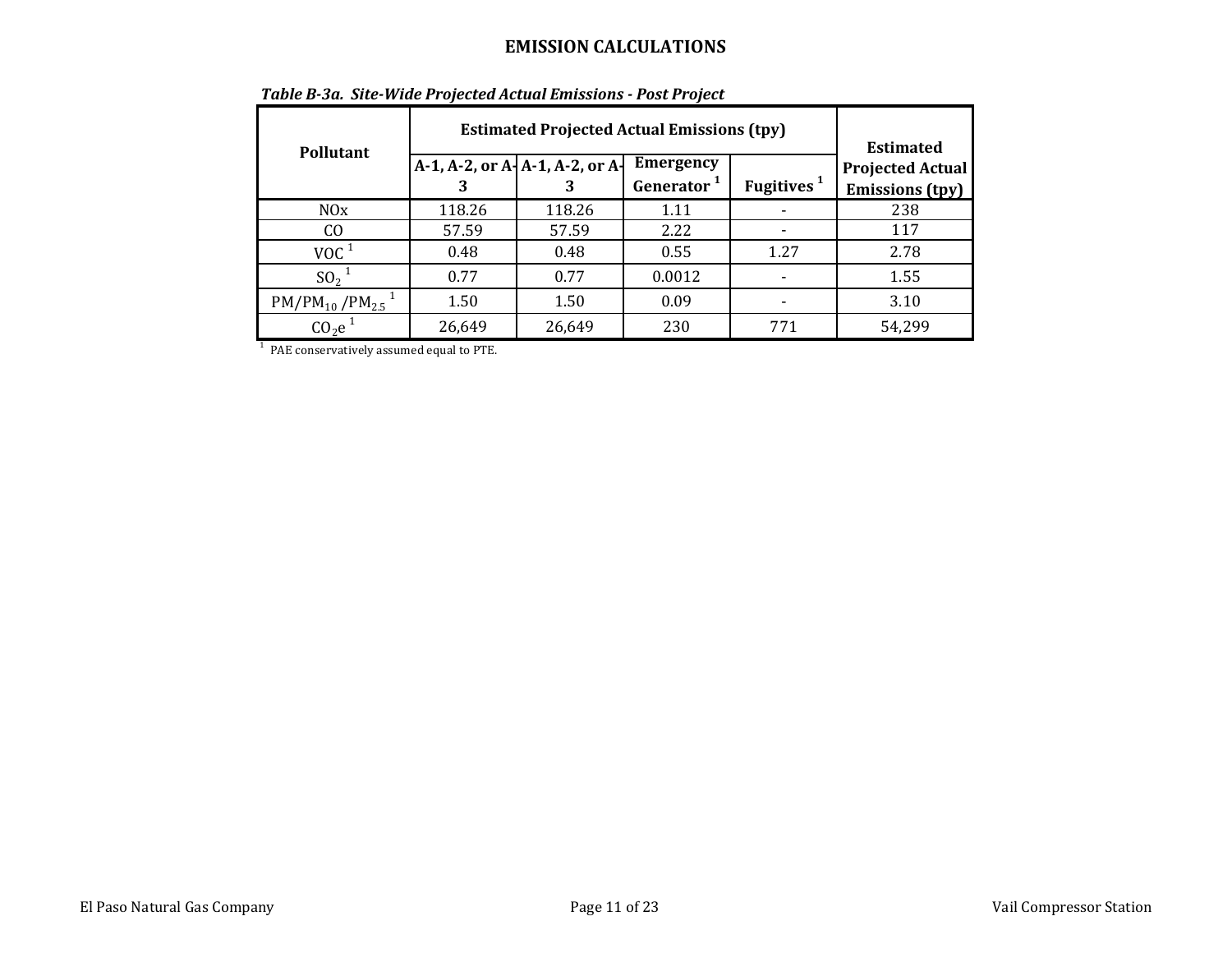| <b>Pollutant</b>                   | <b>Estimated Projected Actual Emissions (tpy)</b><br>$A-1$ , A-2, or $A-1$ , A-2, or $A-1$ | <b>Estimated</b><br><b>Projected Actual</b><br><b>Emissions</b> (tpy) |        |      |        |
|------------------------------------|--------------------------------------------------------------------------------------------|-----------------------------------------------------------------------|--------|------|--------|
| N0x                                | 118.26                                                                                     | 118.26                                                                | 1.11   |      | 238    |
| CO.                                | 57.59                                                                                      | 57.59                                                                 | 2.22   |      | 117    |
| $\rm VOC$ $^1$                     | 0.48                                                                                       | 0.48                                                                  | 0.55   | 1.27 | 2.78   |
| SO <sub>2</sub>                    | 0.77                                                                                       | 0.77                                                                  | 0.0012 |      | 1.55   |
| $PM/PM_{10}/PM_{2.5}$ <sup>1</sup> | 1.50                                                                                       | 1.50                                                                  | 0.09   |      | 3.10   |
| CO <sub>2</sub> e                  | 26,649                                                                                     | 26,649                                                                | 230    | 771  | 54,299 |

<sup>1</sup> PAE conservatively assumed equal to PTE.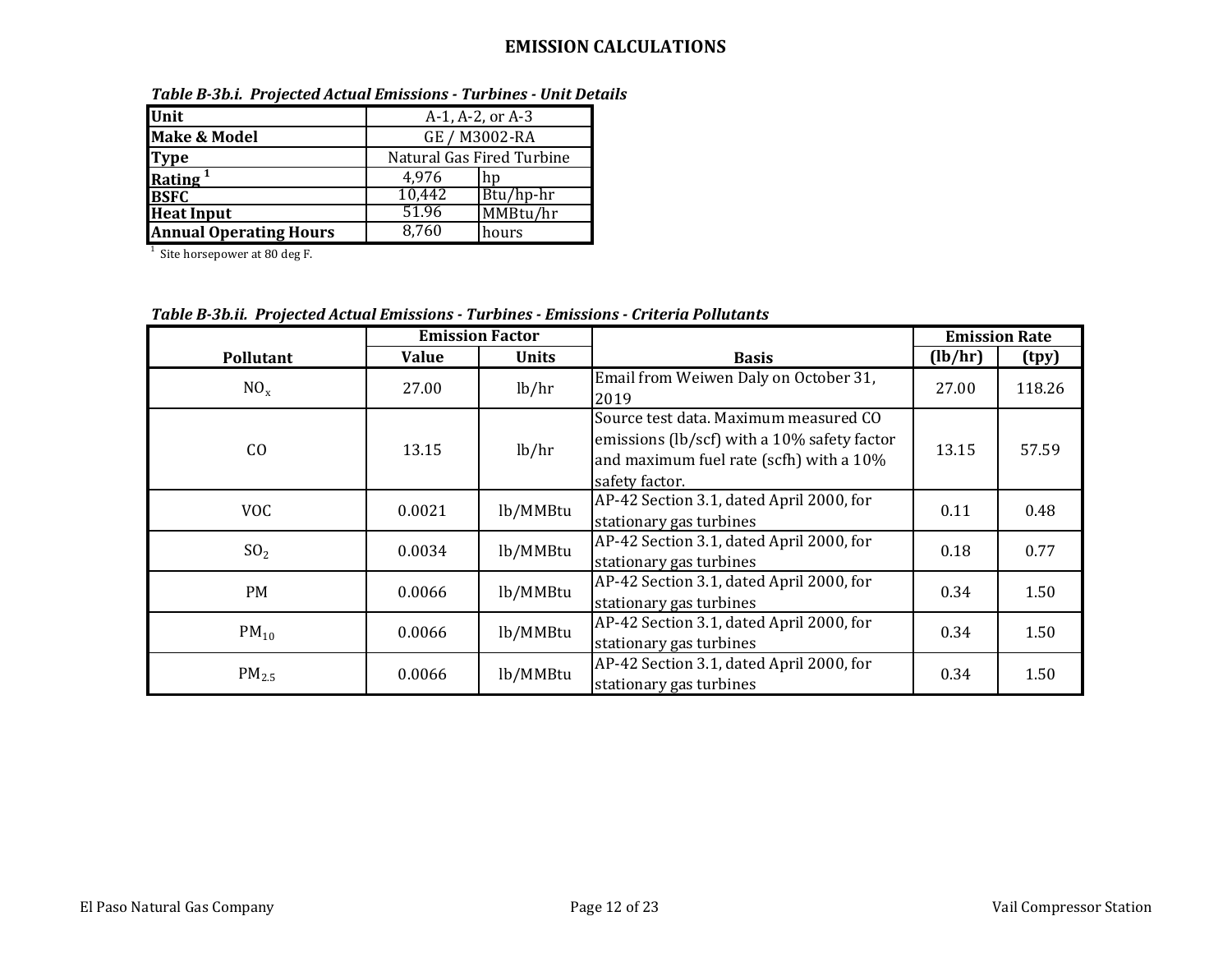| Unit                          | $A-1, A-2, or A-3$        |           |  |  |
|-------------------------------|---------------------------|-----------|--|--|
| <b>Make &amp; Model</b>       | GE / M3002-RA             |           |  |  |
| <b>Type</b>                   | Natural Gas Fired Turbine |           |  |  |
| Rating <sup>1</sup>           | 4.976<br>hn               |           |  |  |
| <b>BSFC</b>                   | 10,442                    | Btu/hp-hr |  |  |
| <b>Heat Input</b>             | 51.96<br>MMBtu/hr         |           |  |  |
| <b>Annual Operating Hours</b> | 8.760                     | hours     |  |  |

*Table B-3b.i. Projected Actual Emissions - Turbines - Unit Details*

 $1$  Site horsepower at 80 deg F.

*Table B-3b.ii. Projected Actual Emissions - Turbines - Emissions - Criteria Pollutants*

|                  | <b>Emission Factor</b> |              |                                                                                                                                                            | <b>Emission Rate</b> |        |
|------------------|------------------------|--------------|------------------------------------------------------------------------------------------------------------------------------------------------------------|----------------------|--------|
| <b>Pollutant</b> | Value                  | <b>Units</b> | <b>Basis</b>                                                                                                                                               | (lb/hr)              | (tpy)  |
| $NO_{x}$         | 27.00                  | lb/hr        | Email from Weiwen Daly on October 31,<br>2019                                                                                                              | 27.00                | 118.26 |
| CO               | 13.15                  | lb/hr        | Source test data. Maximum measured CO<br>emissions (lb/scf) with a 10% safety factor<br>13.15<br>and maximum fuel rate (scfh) with a 10%<br>safety factor. |                      | 57.59  |
| <b>VOC</b>       | 0.0021                 | lb/MMBtu     | AP-42 Section 3.1, dated April 2000, for<br>stationary gas turbines                                                                                        | 0.11                 | 0.48   |
| SO <sub>2</sub>  | 0.0034                 | lb/MMBtu     | AP-42 Section 3.1, dated April 2000, for<br>stationary gas turbines                                                                                        | 0.18                 | 0.77   |
| <b>PM</b>        | 0.0066                 | lb/MMBtu     | AP-42 Section 3.1, dated April 2000, for<br>stationary gas turbines                                                                                        | 0.34                 | 1.50   |
| $PM_{10}$        | 0.0066                 | lb/MMBtu     | AP-42 Section 3.1, dated April 2000, for<br>stationary gas turbines                                                                                        | 0.34                 | 1.50   |
| $PM_{2.5}$       | 0.0066                 | lb/MMBtu     | AP-42 Section 3.1, dated April 2000, for<br>stationary gas turbines                                                                                        | 0.34                 | 1.50   |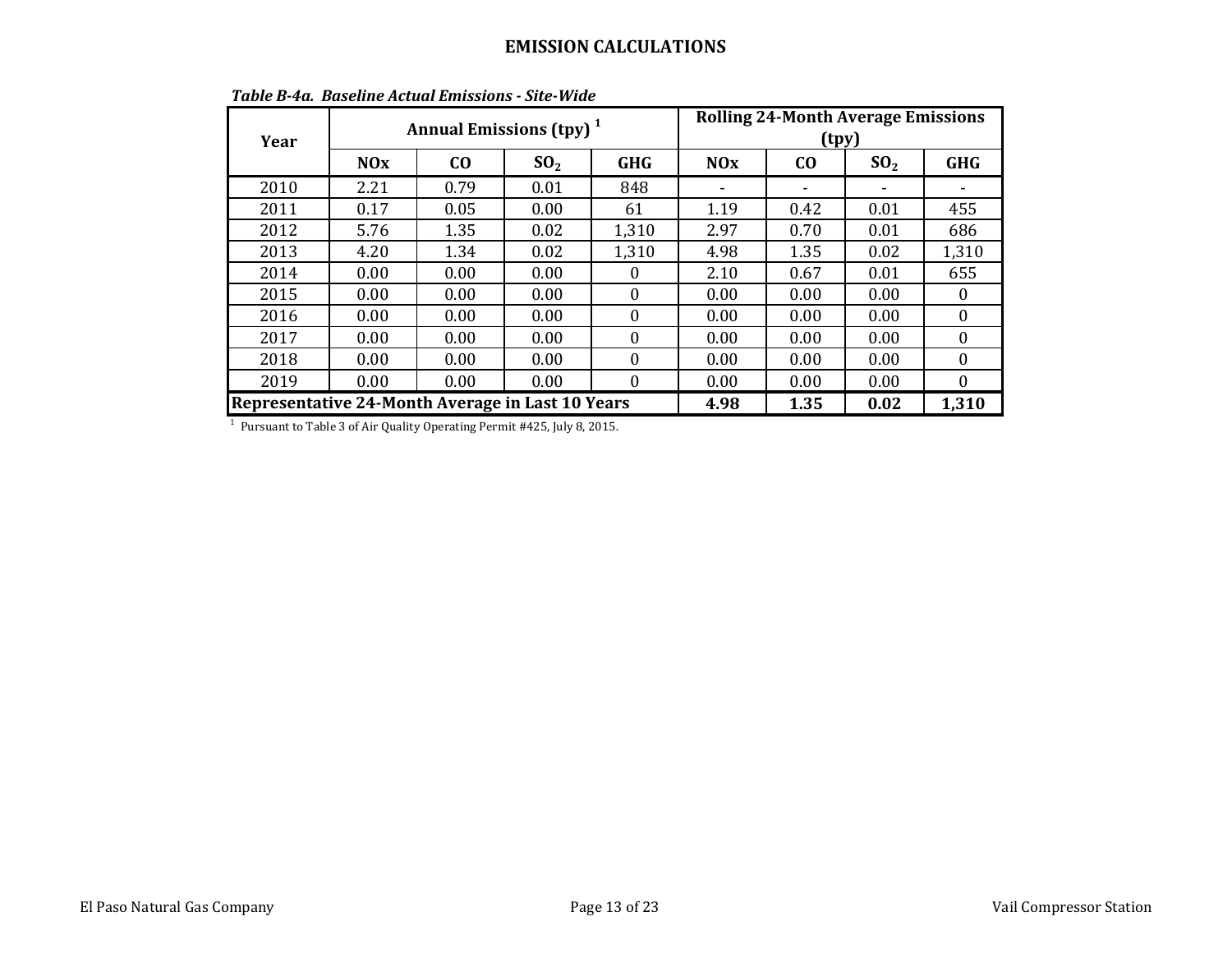| Year |                                                  | Annual Emissions (tpy) <sup>1</sup> |                 |            | <b>Rolling 24-Month Average Emissions</b><br>(tpy) |           |                 |            |  |
|------|--------------------------------------------------|-------------------------------------|-----------------|------------|----------------------------------------------------|-----------|-----------------|------------|--|
|      | <b>NOx</b>                                       | co                                  | SO <sub>2</sub> | <b>GHG</b> | <b>NOx</b>                                         | $\bf{C0}$ | SO <sub>2</sub> | <b>GHG</b> |  |
| 2010 | 2.21                                             | 0.79                                | 0.01            | 848        |                                                    |           |                 |            |  |
| 2011 | 0.17                                             | 0.05                                | 0.00            | 61         | 1.19                                               | 0.42      | 0.01            | 455        |  |
| 2012 | 5.76                                             | 1.35                                | 0.02            | 1,310      | 2.97                                               | 0.70      | 0.01            | 686        |  |
| 2013 | 4.20                                             | 1.34                                | 0.02            | 1,310      | 4.98                                               | 1.35      | 0.02            | 1,310      |  |
| 2014 | 0.00                                             | 0.00                                | 0.00            | 0          | 2.10                                               | 0.67      | 0.01            | 655        |  |
| 2015 | 0.00                                             | 0.00                                | 0.00            | $\Omega$   | 0.00                                               | 0.00      | 0.00            | $\theta$   |  |
| 2016 | 0.00                                             | 0.00                                | 0.00            | 0          | 0.00                                               | 0.00      | 0.00            | $\Omega$   |  |
| 2017 | 0.00                                             | 0.00                                | 0.00            | 0          | 0.00                                               | 0.00      | 0.00            | $\Omega$   |  |
| 2018 | 0.00                                             | 0.00                                | 0.00            | 0          | 0.00                                               | 0.00      | 0.00            | $\Omega$   |  |
| 2019 | 0.00                                             | 0.00                                | 0.00            | $\theta$   | 0.00                                               | 0.00      | 0.00            | $\Omega$   |  |
|      | Representative 24-Month Average in Last 10 Years |                                     |                 |            |                                                    | 1.35      | 0.02            | 1,310      |  |

*Table B-4a. Baseline Actual Emissions - Site-Wide*

<sup>1</sup> Pursuant to Table 3 of Air Quality Operating Permit #425, July 8, 2015.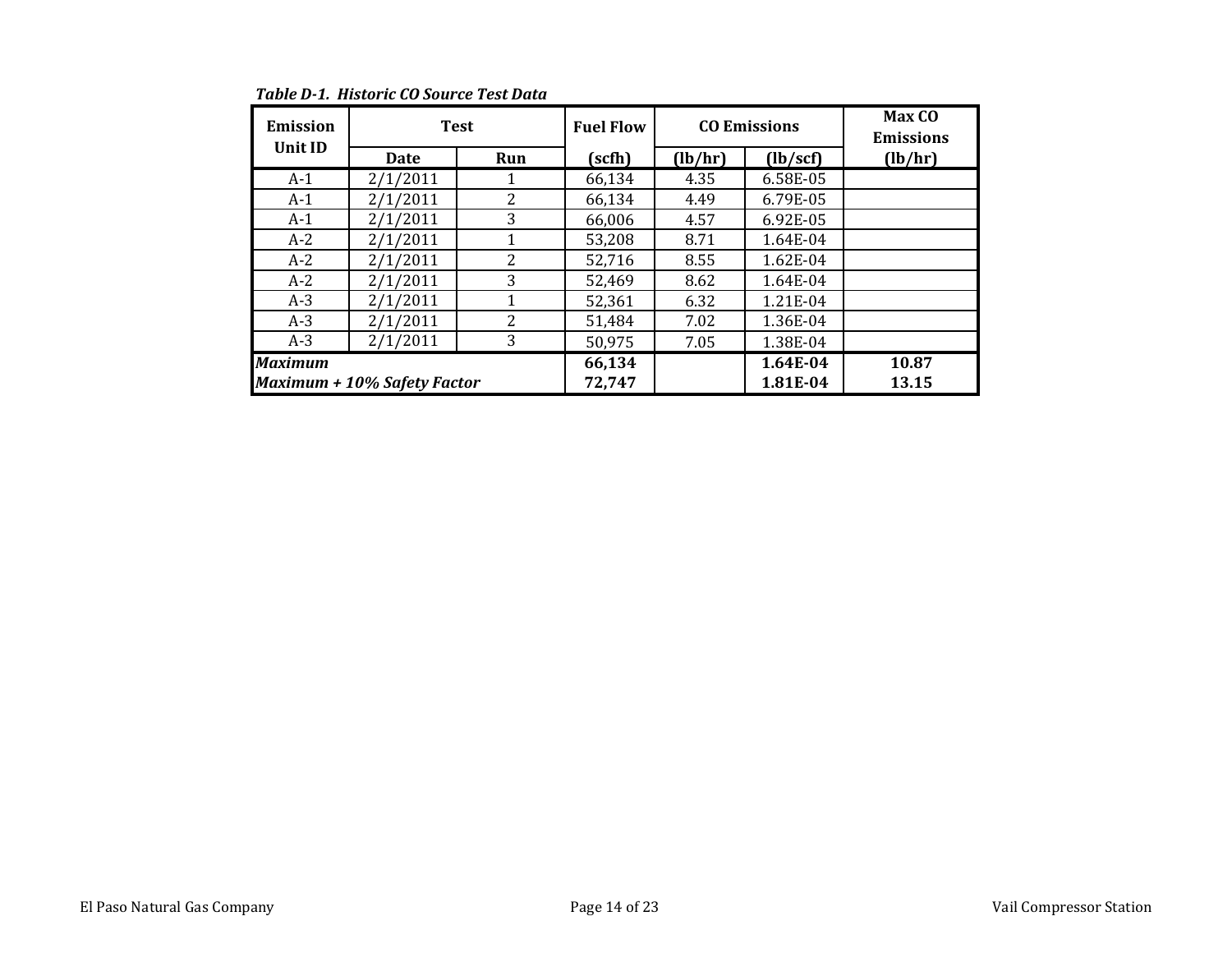| <b>Emission</b> | <b>Test</b>                        |     | <b>Fuel Flow</b> |         | <b>CO Emissions</b> | Max CO<br><b>Emissions</b> |
|-----------------|------------------------------------|-----|------------------|---------|---------------------|----------------------------|
| Unit ID         | <b>Date</b>                        | Run | (scfh)           | (lb/hr) | (lb/secf)           | (lb/hr)                    |
| $A-1$           | 2/1/2011                           | 1   | 66,134           | 4.35    | 6.58E-05            |                            |
| $A-1$           | 2/1/2011                           | 2   | 66,134           | 4.49    | 6.79E-05            |                            |
| $A-1$           | 2/1/2011                           | 3   | 66,006           | 4.57    | 6.92E-05            |                            |
| $A-2$           | 2/1/2011                           | 1   | 53,208           | 8.71    | 1.64E-04            |                            |
| $A-2$           | 2/1/2011                           | 2   | 52,716           | 8.55    | 1.62E-04            |                            |
| $A-2$           | 2/1/2011                           | 3   | 52,469           | 8.62    | 1.64E-04            |                            |
| $A-3$           | 2/1/2011                           | 1   | 52,361           | 6.32    | 1.21E-04            |                            |
| $A-3$           | 2/1/2011                           | 2   | 51,484           | 7.02    | 1.36E-04            |                            |
| $A-3$           | 2/1/2011                           | 3   | 50,975           | 7.05    | 1.38E-04            |                            |
| <b>Maximum</b>  |                                    |     | 66,134           |         | 1.64E-04            | 10.87                      |
|                 | <b>Maximum + 10% Safety Factor</b> |     | 72,747           |         | 1.81E-04            | 13.15                      |

*Table D-1. Historic CO Source Test Data*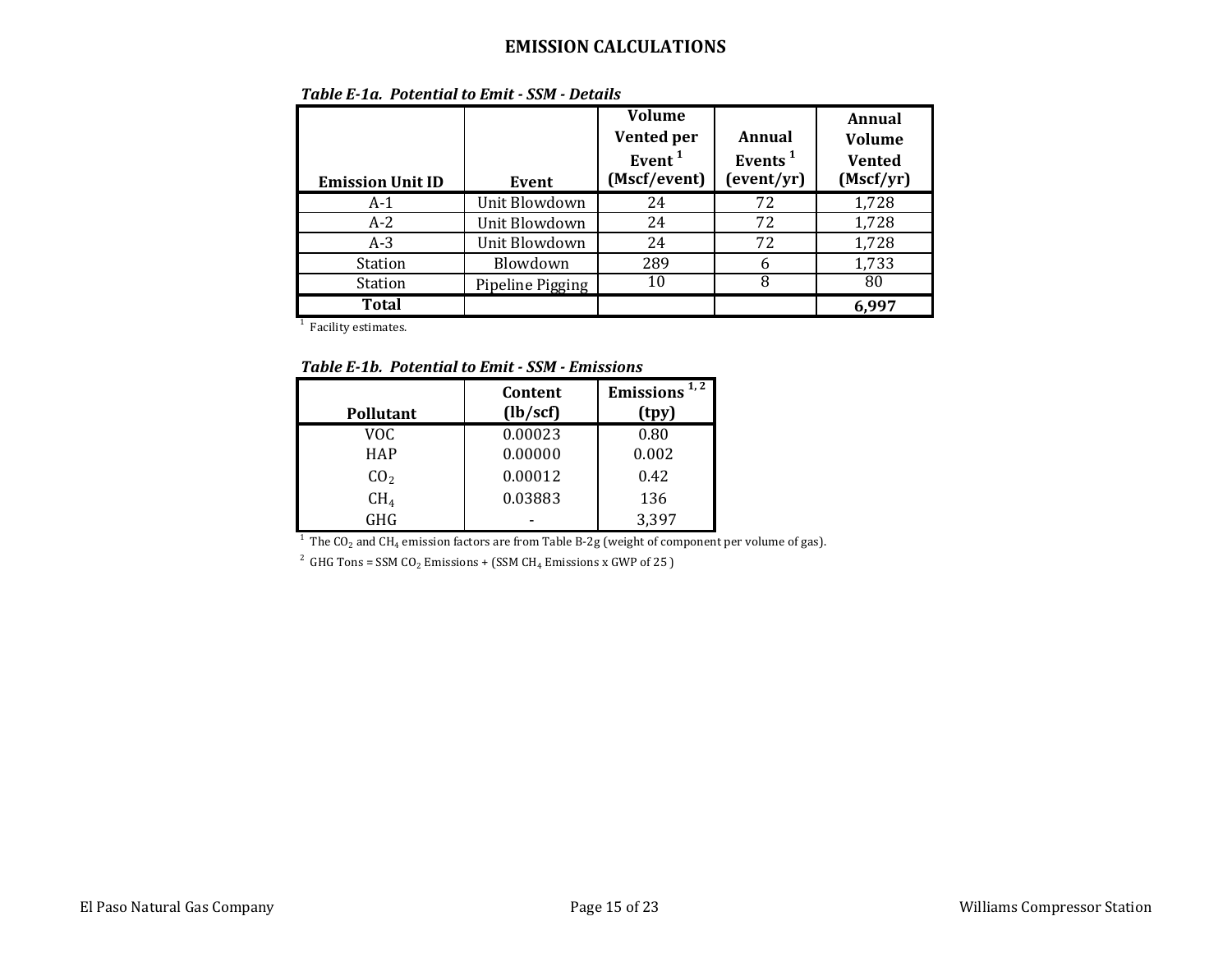| <b>Emission Unit ID</b> | Event            | <b>Volume</b><br>Vented per<br>Event <sup>1</sup><br>(Mscf/event) | Annual<br>Events <sup>1</sup><br>(event/yr) | Annual<br><b>Volume</b><br>Vented<br>(Mscf/yr) |
|-------------------------|------------------|-------------------------------------------------------------------|---------------------------------------------|------------------------------------------------|
| $A-1$                   | Unit Blowdown    | 24                                                                | 72                                          | 1,728                                          |
| $A-2$                   | Unit Blowdown    | 24                                                                | 72                                          | 1,728                                          |
| $A-3$                   | Unit Blowdown    | 24                                                                | 72                                          | 1,728                                          |
| Station                 | Blowdown         | 289                                                               | 6                                           | 1,733                                          |
| <b>Station</b>          | Pipeline Pigging | 10                                                                | 8                                           | 80                                             |
| <b>Total</b>            |                  |                                                                   |                                             | 6,997                                          |

*Table E-1a. Potential to Emit - SSM - Details*

<sup>1</sup> Facility estimates.

*Table E-1b. Potential to Emit - SSM - Emissions*

|                  | Content   | Emissions $1, 2$ |
|------------------|-----------|------------------|
| <b>Pollutant</b> | (lb/secf) | (tpy)            |
| VOC              | 0.00023   | 0.80             |
| <b>HAP</b>       | 0.00000   | 0.002            |
| CO <sub>2</sub>  | 0.00012   | 0.42             |
| $\rm CH_{4}$     | 0.03883   | 136              |
| GHG              |           | 3,397            |

GHG  $\overline{G}_{1}$   $\overline{G}_{2}$  and CH<sub>4</sub> emission factors are from Table B-2g (weight of component per volume of gas).

<sup>2</sup> GHG Tons = SSM CO<sub>2</sub> Emissions + (SSM CH<sub>4</sub> Emissions x GWP of 25 )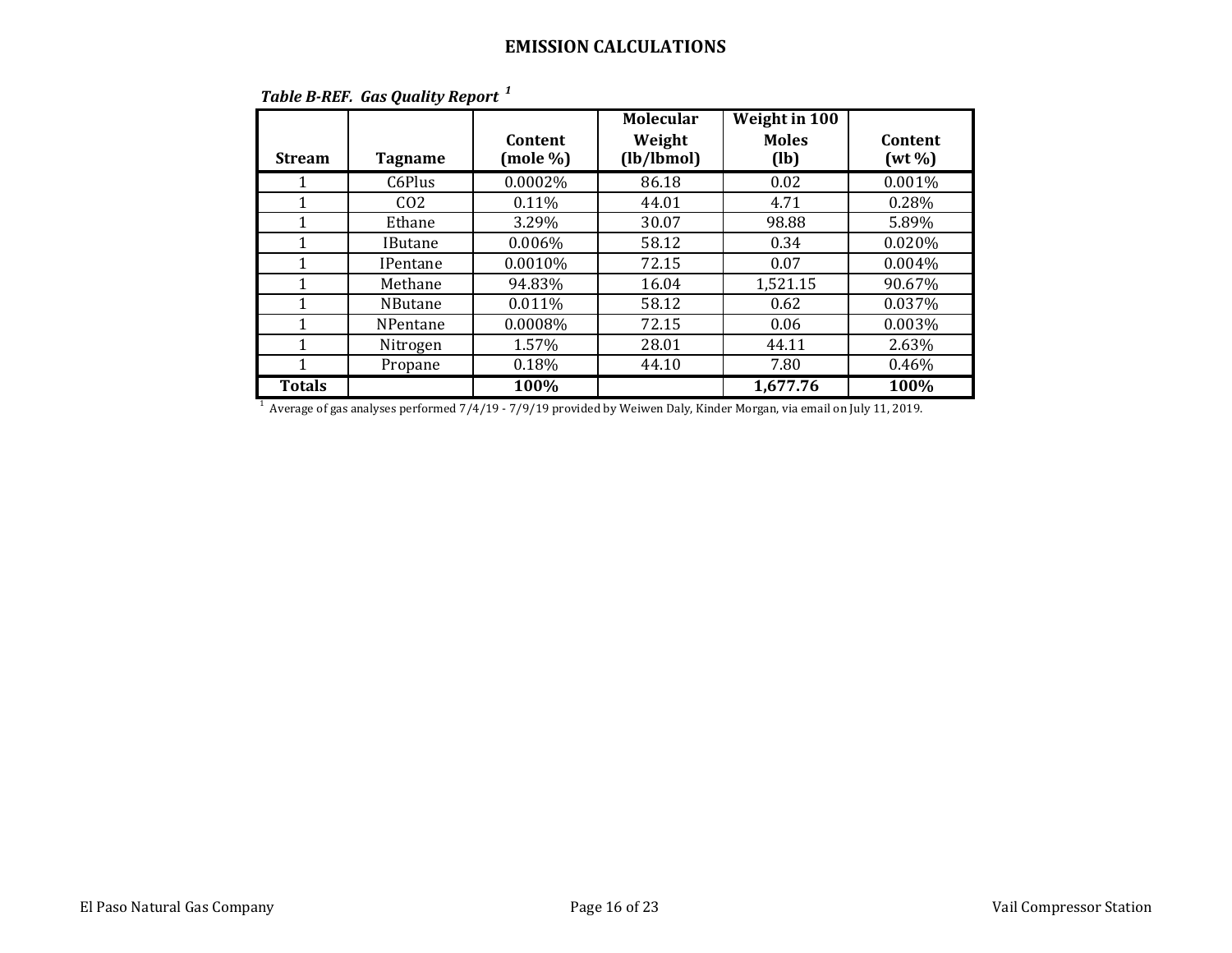| <b>Stream</b> | <b>Tagname</b>  | Content<br>(mole %) | <b>Molecular</b><br>Weight<br>(lb/lbmol) | <b>Weight in 100</b><br><b>Moles</b><br>(lb) | Content<br>$(wt\%)$ |
|---------------|-----------------|---------------------|------------------------------------------|----------------------------------------------|---------------------|
| 1             | C6Plus          | 0.0002%             | 86.18                                    | 0.02                                         | 0.001%              |
| 1             | CO <sub>2</sub> | 0.11%               | 44.01                                    | 4.71                                         | 0.28%               |
| 1             | Ethane          | 3.29%               | 30.07                                    | 98.88                                        | 5.89%               |
| 1             | <b>IButane</b>  | $0.006\%$           | 58.12                                    | 0.34                                         | 0.020%              |
| 1             | <b>IPentane</b> | 0.0010%             | 72.15                                    | 0.07                                         | 0.004%              |
| 1             | Methane         | 94.83%              | 16.04                                    | 1,521.15                                     | 90.67%              |
| 1             | <b>NButane</b>  | 0.011%              | 58.12                                    | 0.62                                         | 0.037%              |
| 1             | NPentane        | 0.0008%             | 72.15                                    | 0.06                                         | 0.003%              |
| 1             | Nitrogen        | 1.57%               | 28.01                                    | 44.11                                        | 2.63%               |
| 1             | Propane         | 0.18%               | 44.10                                    | 7.80                                         | 0.46%               |
| <b>Totals</b> |                 | 100%                |                                          | 1,677.76                                     | 100%                |

## *Table B-REF. Gas Quality Report <sup>1</sup>*

 $^{\rm 1}$  Average of gas analyses performed 7/4/19 - 7/9/19 provided by Weiwen Daly, Kinder Morgan, via email on July 11, 2019.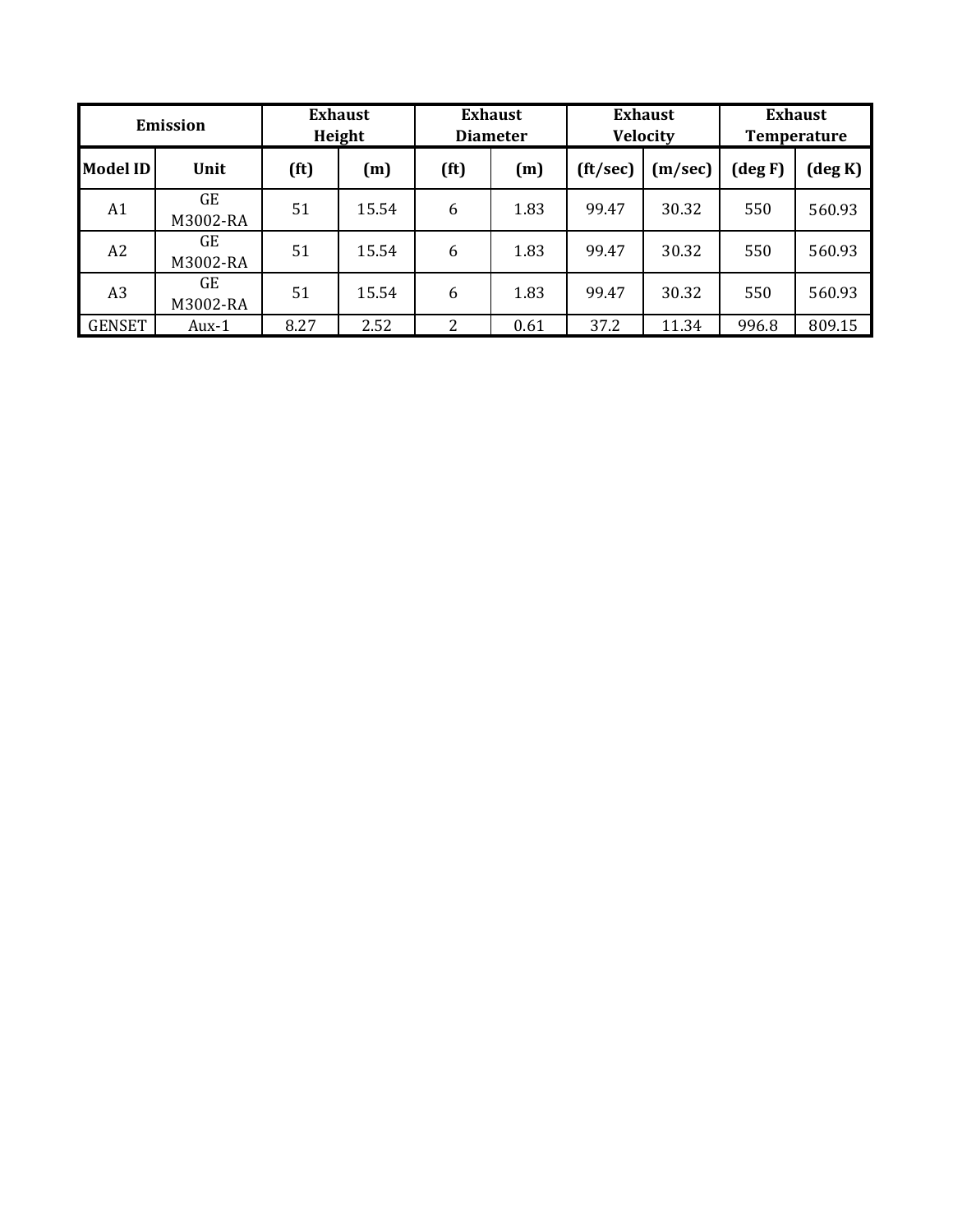|               | <b>Emission</b>       |      | <b>Exhaust</b><br>Height |                   | <b>Exhaust</b><br><b>Diameter</b> |                  | <b>Exhaust</b><br><b>Velocity</b> |            | <b>Exhaust</b><br><b>Temperature</b> |
|---------------|-----------------------|------|--------------------------|-------------------|-----------------------------------|------------------|-----------------------------------|------------|--------------------------------------|
| Model ID      | Unit                  | (ft) | (m)                      | (f <sup>t</sup> ) | (m)                               | $({\rm ft/sec})$ | (m/sec)                           | $(\deg F)$ | $(\deg K)$                           |
| A1            | <b>GE</b><br>M3002-RA | 51   | 15.54                    | 6                 | 1.83                              | 99.47            | 30.32                             | 550        | 560.93                               |
| A2            | GE<br>M3002-RA        | 51   | 15.54                    | 6                 | 1.83                              | 99.47            | 30.32                             | 550        | 560.93                               |
| A3            | GE<br>M3002-RA        | 51   | 15.54                    | 6                 | 1.83                              | 99.47            | 30.32                             | 550        | 560.93                               |
| <b>GENSET</b> | Aux-1                 | 8.27 | 2.52                     | 2                 | 0.61                              | 37.2             | 11.34                             | 996.8      | 809.15                               |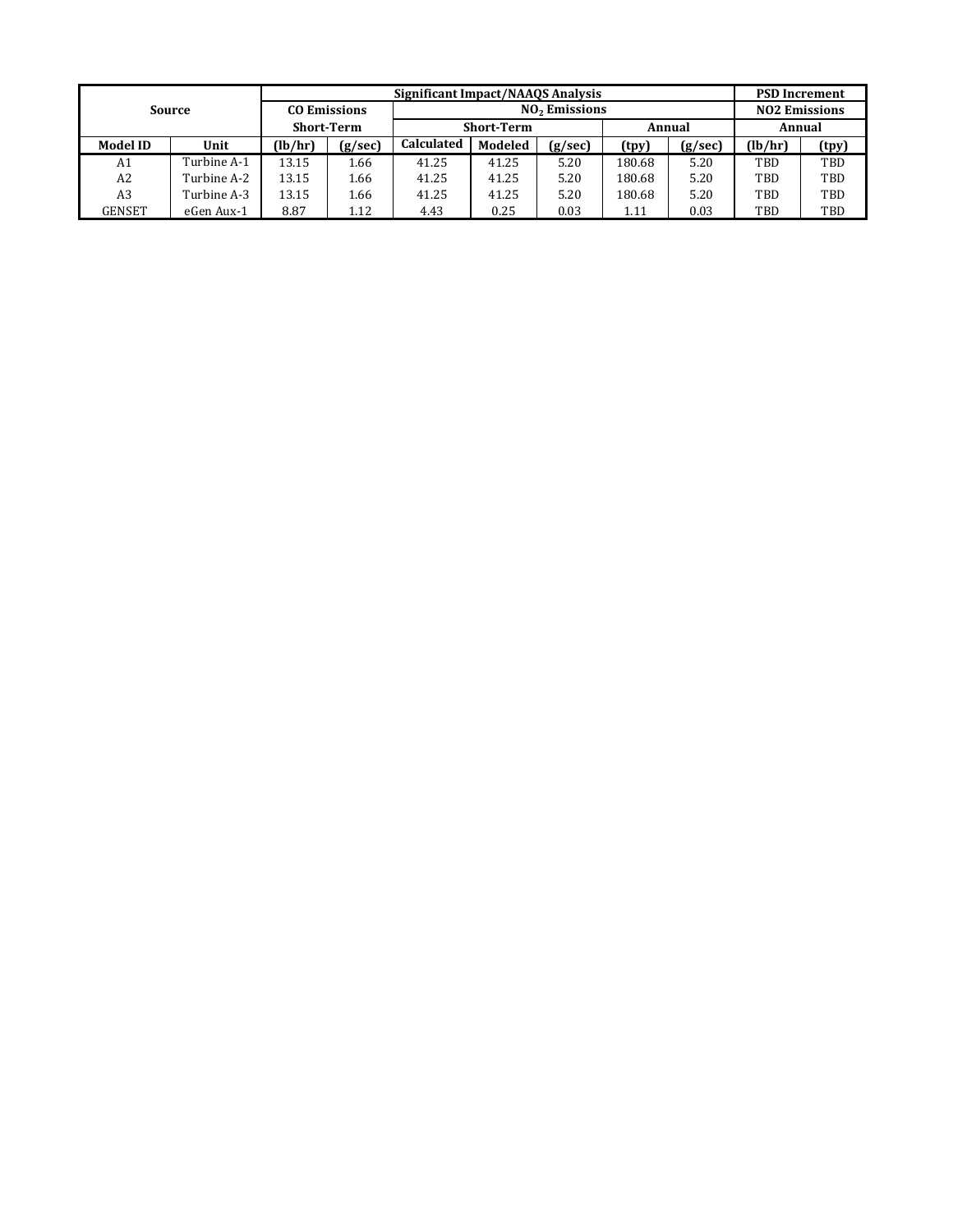|                 |               |               |                     | Significant Impact/NAA0S Analysis |                   |                           |        |         | <b>PSD Increment</b> |       |
|-----------------|---------------|---------------|---------------------|-----------------------------------|-------------------|---------------------------|--------|---------|----------------------|-------|
|                 | <b>Source</b> |               | <b>CO Emissions</b> |                                   |                   | NO <sub>2</sub> Emissions |        |         | <b>NO2 Emissions</b> |       |
|                 |               |               | <b>Short-Term</b>   |                                   | <b>Short-Term</b> |                           |        | Annual  | Annual               |       |
| <b>Model ID</b> | Unit          | (lb/hr)       | (g/sec)             | <b>Calculated</b>                 | Modeled           | (g/sec)                   | (tpy)  | (g/sec) | (lb/hr)              | (tpy) |
| A1              | Turbine A-1   | 13.15<br>1.66 |                     | 41.25                             | 41.25             | 5.20                      | 180.68 | 5.20    | TBD                  | TBD   |
| A2              | Turbine A-2   | 13.15         | 1.66                | 41.25                             | 41.25             | 5.20                      | 180.68 | 5.20    | TBD                  | TBD   |
| A <sub>3</sub>  | Turbine A-3   | 13.15<br>1.66 |                     | 41.25                             | 41.25             | 5.20                      | 180.68 | 5.20    | TBD                  | TBD   |
| GENSET          | eGen Aux-1    | 8.87          | 1.12                | 4.43                              | 0.25              | 0.03                      | 1.11   | 0.03    | TBD                  | TBD   |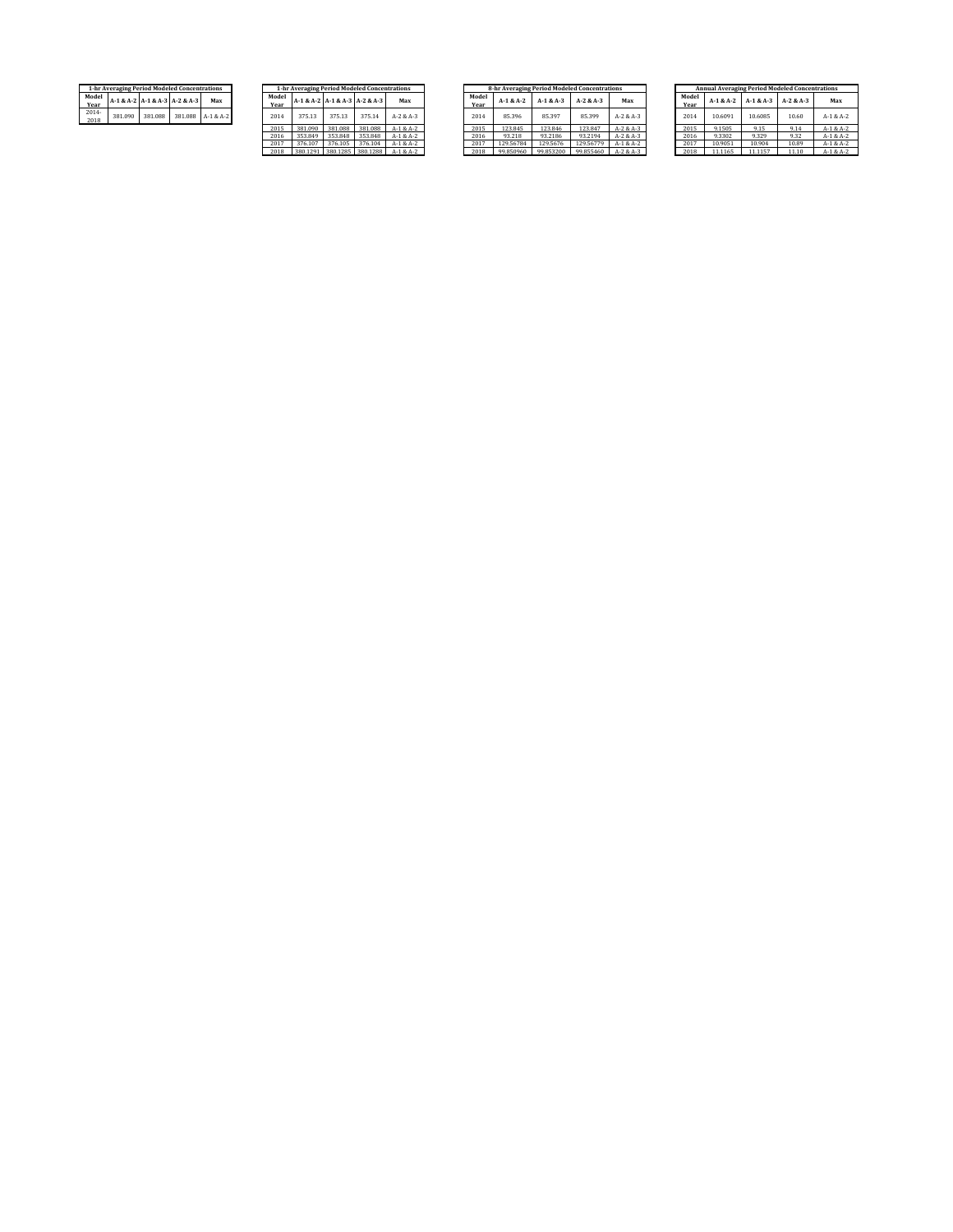|                      | 1-hr Averaging Period Modeled Concentrations |         |                               |           | $1-h$         |
|----------------------|----------------------------------------------|---------|-------------------------------|-----------|---------------|
| Model<br><b>Year</b> |                                              |         | A-1 & A-2 A-1 & A-3 A-2 & A-3 | Max       | Model<br>Year |
| $2014 -$<br>2018     | 381.090                                      | 381.088 | 381,088                       | A-1 & A-2 | 2014          |

|               | 1-hr Averaging Period Modeled Concentrations |          |          |             |
|---------------|----------------------------------------------|----------|----------|-------------|
| Model<br>Year | A-1 & A-2   A-1 & A-3   A-2 & A-3            | Max      |          |             |
| 2014          | 375.13                                       | 375.13   | 375.14   | $A-2 & A-3$ |
| 2015          | 381.090                                      | 381.088  | 381.088  | $A-1 & A-2$ |
| 2016          | 353.849                                      | 353.848  | 353,848  | $A-1 & A-2$ |
| 2017          | 376.107                                      | 376.105  | 376.104  | $A-1 & A-2$ |
| 2018          | 380.1291                                     | 380.1285 | 380.1288 | $A-1 & A-2$ |

|                      |         |         | 1-hr Averaging Period Modeled Concentrations |                   |               |         |         | 1-hr Averaging Period Modeled Concentrations |                 |               | 8-hr Averaging Period Modeled Concentrations |             |                     |             |               |             | <b>Annual Averaging Period Modeled Concentrations</b> |             |             |
|----------------------|---------|---------|----------------------------------------------|-------------------|---------------|---------|---------|----------------------------------------------|-----------------|---------------|----------------------------------------------|-------------|---------------------|-------------|---------------|-------------|-------------------------------------------------------|-------------|-------------|
| <b>Aodel</b><br>Year |         |         | A-1 & A-2   A-1 & A-3   A-2 & A-3            | Max               | Model<br>Year |         |         | A-1 & A-2   A-1 & A-3   A-2 & A-3            | Max             | Model<br>Year | $A-1 & A-2$                                  | $A-1 & A-3$ | $A-2 & A-3$         | Max         | Model<br>Year | $A-1 & A-2$ | $A-1 & A-3$                                           | $A-2 & A-3$ | Max         |
| 2014-<br>2018        | 381,090 | 381.088 |                                              | 381,088 A-1 & A-2 | 2014          | 375.13  | 375.13  | 375.14                                       | $A - 2 & A - 3$ | 2014          | 85.396                                       | 85.397      | 85.399              | $A-2 & A-3$ | 2014          | 10.6091     | 10,6085                                               | 10.60       | $A-1 & A-2$ |
|                      |         |         |                                              |                   | 2015          | 381.090 | 381,088 | 381,088                                      | $A-1 & A-2$     | 2015          | 123.845                                      | 123.846     | 123.847             | $A-2 & A-3$ | 2015          | 9.1505      | 9.15                                                  | 9.14        | $A-1 & A-2$ |
|                      |         |         |                                              |                   | 2016          | 353,849 | 353.848 | 353,848                                      | $A-1 & A-2$     | 2016          | 93.218                                       | 93.2186     | 93.2194             | $A-2 & A-3$ | 2016          | 9.3302      | 9.329                                                 | 9.32        | $A-1 & A-2$ |
|                      |         |         |                                              |                   | 2017          | 376.107 | 376.105 | 376.104                                      | $A-1 & A-2$     | 2017          | 129,56784                                    | 129,5676    | 129.56779           | $A-1 & A-2$ | 2017          | 10.9051     | 10.904                                                | 10.89       | $A-1 & A-2$ |
|                      |         |         |                                              |                   | 2018          |         |         | 380.1291 380.1285 380.1288                   | $A-1 & A-2$     | 2018          | 99,850960                                    |             | 99.853200 99.855460 | $A-2 & A-3$ | 2018          | 11.1165     | 11.1157                                               | 11.10       | $A-1 & A-2$ |
|                      |         |         |                                              |                   |               |         |         |                                              |                 |               |                                              |             |                     |             |               |             |                                                       |             |             |

|               |                                   |         | 1-hr Averaging Period Modeled Concentrations |             |               | 8-hr Averaging Period Modeled Concentrations |             |             |             |               |             |             | <b>Annual Averaging Period Modeled Concentrations</b> |             |
|---------------|-----------------------------------|---------|----------------------------------------------|-------------|---------------|----------------------------------------------|-------------|-------------|-------------|---------------|-------------|-------------|-------------------------------------------------------|-------------|
| Vodel<br>Year | A-1 & A-2   A-1 & A-3   A-2 & A-3 |         |                                              | Max         | Model<br>Year | $A-1 & A-2$                                  | $A-1 & A-3$ | $A-2 & A-3$ | Max         | Model<br>Year | $A-1 & A-2$ | $A-1 & A-3$ | $A-2 & A-3$                                           | Max         |
| 2014          | 375.13                            | 375.13  | 375.14                                       | $A-2 & A-3$ | 2014          | 85.396                                       | 85.397      | 85.399      | $A-2 & A-3$ | 2014          | 10.6091     | 10,6085     | 10.60                                                 | $A-1 & A-2$ |
| 2015          | 381.090                           | 381.088 | 381,088                                      | $A-1 & A-2$ | 2015          | 123.845                                      | 123,846     | 123.847     | $A-2 & A-3$ | 2015          | 9.1505      | 9.15        | 9.14                                                  | $A-1 & A-2$ |
| 2016          | 353.849                           | 353.848 | 353,848                                      | $A-1 & A-2$ | 2016          | 93.218                                       | 93.2186     | 93.2194     | $A-2 & A-3$ | 2016          | 9.3302      | 9.329       | 9.32                                                  | $A-1 & A-2$ |
| 2017          | 376.107                           | 376.105 | 376.104                                      | $A-1 & A-2$ | 2017          | 129.56784                                    | 129,5676    | 129.56779   | $A-1 & A-2$ | 2017          | 10.9051     | 10.904      | 10.89                                                 | $A-1 & A-2$ |
| 2018          |                                   |         | 380.1291 380.1285 380.1288                   | $A-1 & A-2$ | 2018          | 99.850960                                    | 99.853200   | 99.855460   | $A-2 & A-3$ | 2018          | 11.1165     | 11.1157     | 11.10                                                 | $A-1 & A-2$ |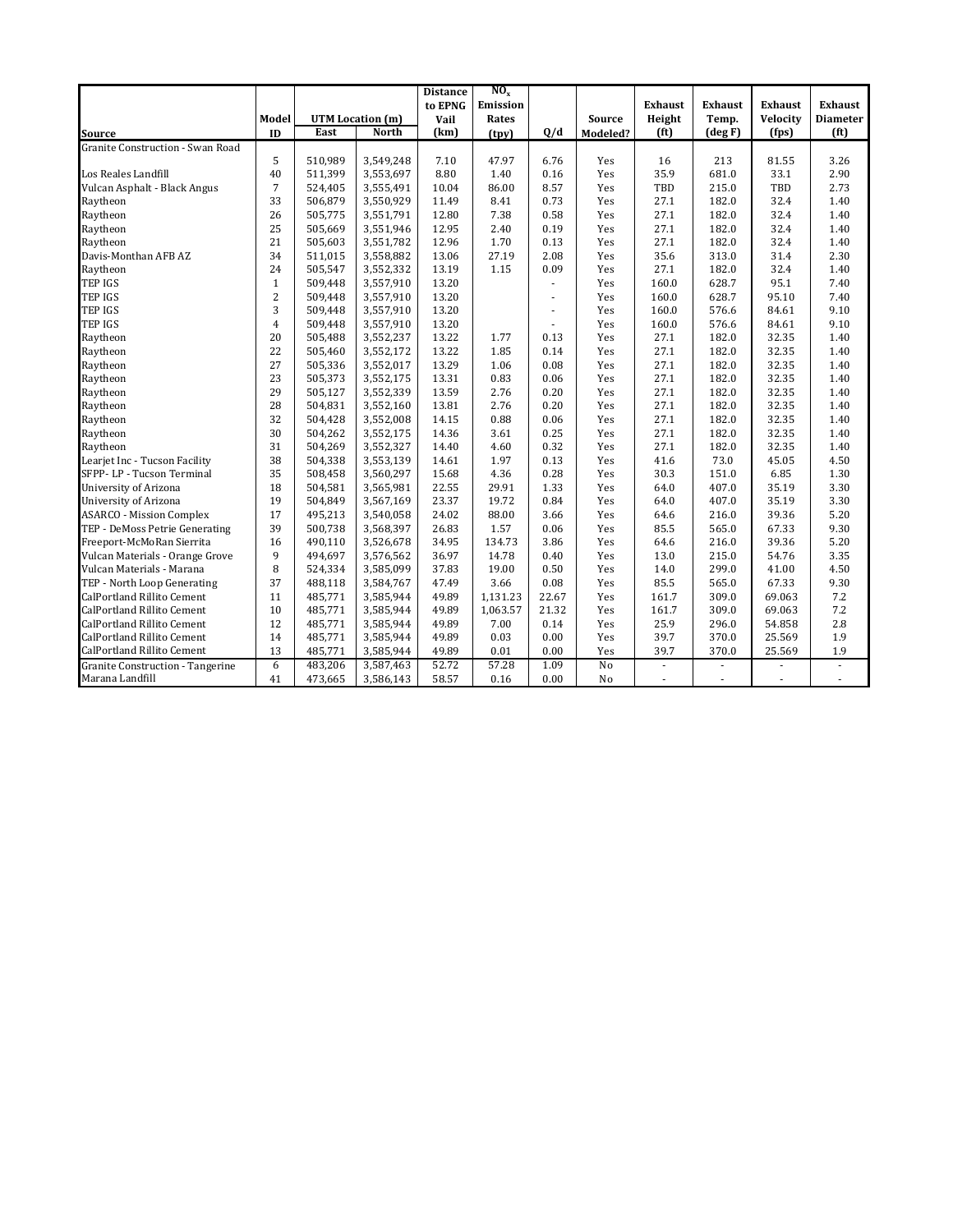|                                         |                |         |                  | <b>Distance</b> | $NO_x$   |                          |                |                          |                          |                |                   |
|-----------------------------------------|----------------|---------|------------------|-----------------|----------|--------------------------|----------------|--------------------------|--------------------------|----------------|-------------------|
|                                         |                |         |                  | to EPNG         | Emission |                          |                | <b>Exhaust</b>           | <b>Exhaust</b>           | <b>Exhaust</b> | <b>Exhaust</b>    |
|                                         | Model          |         | UTM Location (m) | Vail            | Rates    |                          | Source         | Height                   | Temp.                    | Velocity       | <b>Diameter</b>   |
| <b>Source</b>                           | ID             | East    | <b>North</b>     | (km)            | (tpy)    | Q/d                      | Modeled?       | (f <sup>t</sup> )        | (deg F)                  | (fps)          | (f <sup>t</sup> ) |
| Granite Construction - Swan Road        |                |         |                  |                 |          |                          |                |                          |                          |                |                   |
|                                         | 5              | 510,989 | 3,549,248        | 7.10            | 47.97    | 6.76                     | Yes            | 16                       | 213                      | 81.55          | 3.26              |
| Los Reales Landfill                     | 40             | 511,399 | 3,553,697        | 8.80            | 1.40     | 0.16                     | Yes            | 35.9                     | 681.0                    | 33.1           | 2.90              |
| Vulcan Asphalt - Black Angus            | $\overline{7}$ | 524,405 | 3,555,491        | 10.04           | 86.00    | 8.57                     | Yes            | TBD                      | 215.0                    | TBD            | 2.73              |
| Raytheon                                | 33             | 506,879 | 3,550,929        | 11.49           | 8.41     | 0.73                     | Yes            | 27.1                     | 182.0                    | 32.4           | 1.40              |
| Raytheon                                | 26             | 505,775 | 3,551,791        | 12.80           | 7.38     | 0.58                     | Yes            | 27.1                     | 182.0                    | 32.4           | 1.40              |
| Raytheon                                | 25             | 505,669 | 3,551,946        | 12.95           | 2.40     | 0.19                     | Yes            | 27.1                     | 182.0                    | 32.4           | 1.40              |
| Raytheon                                | 21             | 505,603 | 3,551,782        | 12.96           | 1.70     | 0.13                     | Yes            | 27.1                     | 182.0                    | 32.4           | 1.40              |
| Davis-Monthan AFB AZ                    | 34             | 511.015 | 3,558,882        | 13.06           | 27.19    | 2.08                     | Yes            | 35.6                     | 313.0                    | 31.4           | 2.30              |
| Raytheon                                | 24             | 505,547 | 3,552,332        | 13.19           | 1.15     | 0.09                     | Yes            | 27.1                     | 182.0                    | 32.4           | 1.40              |
| <b>TEP IGS</b>                          | $\mathbf{1}$   | 509,448 | 3,557,910        | 13.20           |          | ÷,                       | Yes            | 160.0                    | 628.7                    | 95.1           | 7.40              |
| <b>TEP IGS</b>                          | $\overline{2}$ | 509.448 | 3,557,910        | 13.20           |          | ÷                        | Yes            | 160.0                    | 628.7                    | 95.10          | 7.40              |
| <b>TEP IGS</b>                          | 3              | 509,448 | 3,557,910        | 13.20           |          | $\overline{\phantom{a}}$ | Yes            | 160.0                    | 576.6                    | 84.61          | 9.10              |
| <b>TEP IGS</b>                          | $\overline{4}$ | 509,448 | 3,557,910        | 13.20           |          |                          | Yes            | 160.0                    | 576.6                    | 84.61          | 9.10              |
| Raytheon                                | 20             | 505,488 | 3,552,237        | 13.22           | 1.77     | 0.13                     | Yes            | 27.1                     | 182.0                    | 32.35          | 1.40              |
| Raytheon                                | 22             | 505,460 | 3,552,172        | 13.22           | 1.85     | 0.14                     | Yes            | 27.1                     | 182.0                    | 32.35          | 1.40              |
| Raytheon                                | 27             | 505,336 | 3,552,017        | 13.29           | 1.06     | 0.08                     | Yes            | 27.1                     | 182.0                    | 32.35          | 1.40              |
| Raytheon                                | 23             | 505,373 | 3,552,175        | 13.31           | 0.83     | 0.06                     | Yes            | 27.1                     | 182.0                    | 32.35          | 1.40              |
| Raytheon                                | 29             | 505,127 | 3,552,339        | 13.59           | 2.76     | 0.20                     | Yes            | 27.1                     | 182.0                    | 32.35          | 1.40              |
| Raytheon                                | 28             | 504,831 | 3,552,160        | 13.81           | 2.76     | 0.20                     | Yes            | 27.1                     | 182.0                    | 32.35          | 1.40              |
| Raytheon                                | 32             | 504,428 | 3,552,008        | 14.15           | 0.88     | 0.06                     | Yes            | 27.1                     | 182.0                    | 32.35          | 1.40              |
| Raytheon                                | 30             | 504,262 | 3,552,175        | 14.36           | 3.61     | 0.25                     | Yes            | 27.1                     | 182.0                    | 32.35          | 1.40              |
| Raytheon                                | 31             | 504,269 | 3,552,327        | 14.40           | 4.60     | 0.32                     | Yes            | 27.1                     | 182.0                    | 32.35          | 1.40              |
| Learjet Inc - Tucson Facility           | 38             | 504,338 | 3,553,139        | 14.61           | 1.97     | 0.13                     | Yes            | 41.6                     | 73.0                     | 45.05          | 4.50              |
| SFPP-LP - Tucson Terminal               | 35             | 508,458 | 3,560,297        | 15.68           | 4.36     | 0.28                     | Yes            | 30.3                     | 151.0                    | 6.85           | 1.30              |
| University of Arizona                   | 18             | 504,581 | 3,565,981        | 22.55           | 29.91    | 1.33                     | Yes            | 64.0                     | 407.0                    | 35.19          | 3.30              |
| University of Arizona                   | 19             | 504,849 | 3,567,169        | 23.37           | 19.72    | 0.84                     | Yes            | 64.0                     | 407.0                    | 35.19          | 3.30              |
| <b>ASARCO - Mission Complex</b>         | 17             | 495.213 | 3,540,058        | 24.02           | 88.00    | 3.66                     | Yes            | 64.6                     | 216.0                    | 39.36          | 5.20              |
| TEP - DeMoss Petrie Generating          | 39             | 500,738 | 3,568,397        | 26.83           | 1.57     | 0.06                     | Yes            | 85.5                     | 565.0                    | 67.33          | 9.30              |
| Freeport-McMoRan Sierrita               | 16             | 490,110 | 3,526,678        | 34.95           | 134.73   | 3.86                     | Yes            | 64.6                     | 216.0                    | 39.36          | 5.20              |
| Vulcan Materials - Orange Grove         | 9              | 494,697 | 3,576,562        | 36.97           | 14.78    | 0.40                     | Yes            | 13.0                     | 215.0                    | 54.76          | 3.35              |
| Vulcan Materials - Marana               | 8              | 524,334 | 3,585,099        | 37.83           | 19.00    | 0.50                     | Yes            | 14.0                     | 299.0                    | 41.00          | 4.50              |
| TEP - North Loop Generating             | 37             | 488,118 | 3,584,767        | 47.49           | 3.66     | 0.08                     | Yes            | 85.5                     | 565.0                    | 67.33          | 9.30              |
| <b>CalPortland Rillito Cement</b>       | 11             | 485,771 | 3,585,944        | 49.89           | 1.131.23 | 22.67                    | Yes            | 161.7                    | 309.0                    | 69.063         | 7.2               |
| CalPortland Rillito Cement              | 10             | 485,771 | 3,585,944        | 49.89           | 1,063.57 | 21.32                    | Yes            | 161.7                    | 309.0                    | 69.063         | 7.2               |
| <b>CalPortland Rillito Cement</b>       | 12             | 485,771 | 3,585,944        | 49.89           | 7.00     | 0.14                     | Yes            | 25.9                     | 296.0                    | 54.858         | 2.8               |
| <b>CalPortland Rillito Cement</b>       | 14             | 485,771 | 3,585,944        | 49.89           | 0.03     | 0.00                     | Yes            | 39.7                     | 370.0                    | 25.569         | 1.9               |
| CalPortland Rillito Cement              | 13             | 485,771 | 3,585,944        | 49.89           | 0.01     | 0.00                     | Yes            | 39.7                     | 370.0                    | 25.569         | 1.9               |
| <b>Granite Construction - Tangerine</b> | 6              | 483,206 | 3,587,463        | 52.72           | 57.28    | 1.09                     | N <sub>o</sub> | $\overline{\phantom{a}}$ | $\overline{\phantom{a}}$ | ÷,             |                   |
| Marana Landfill                         | 41             | 473,665 | 3,586,143        | 58.57           | 0.16     | 0.00                     | No             | $\sim$                   | ÷,                       | $\sim$         |                   |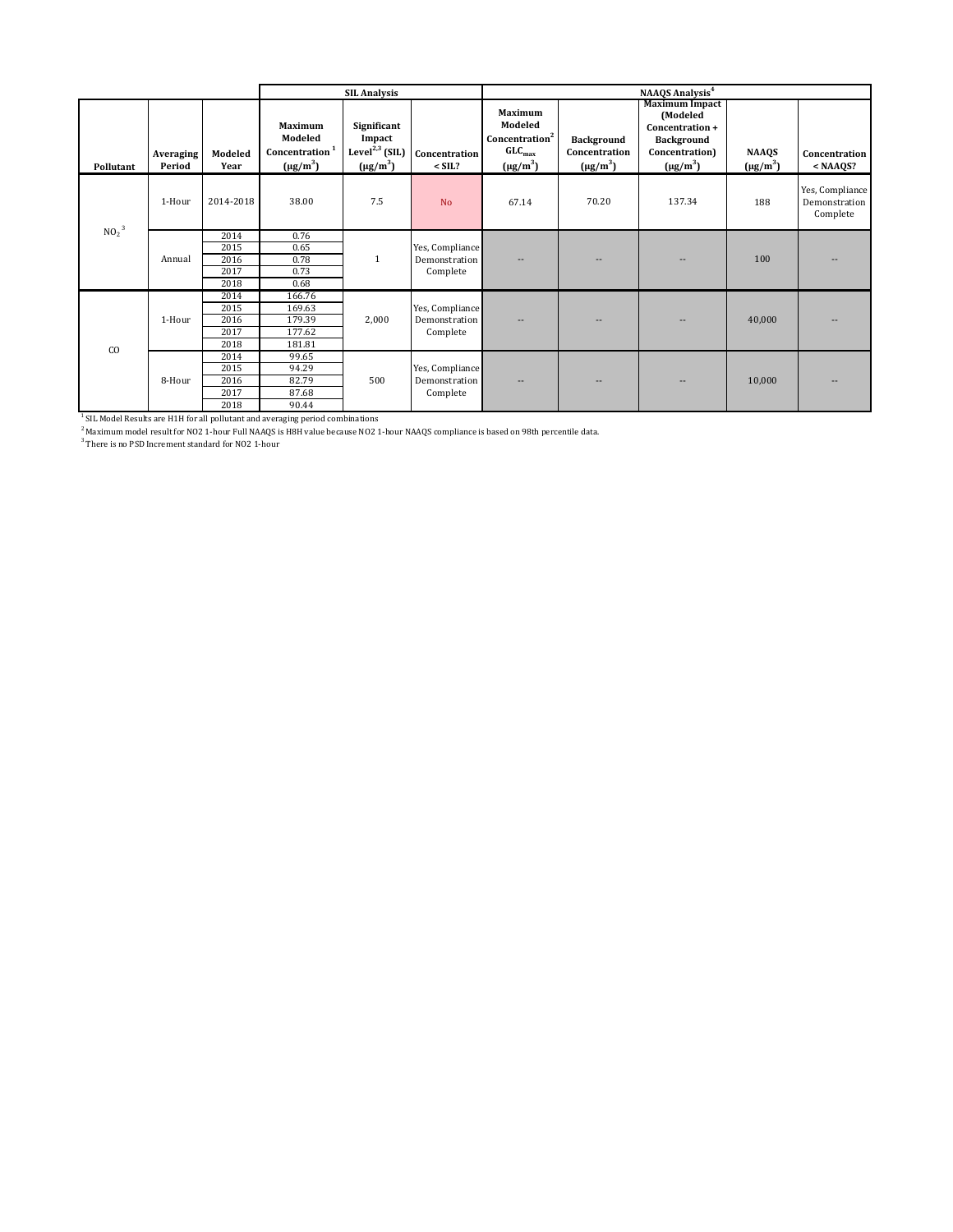|                              |                     |                 |                                                                   | <b>SIL Analysis</b>                                                               |                                  |                                                                                                |                                                     | NAAQS Analysis <sup>4</sup>                                                                                  |                               |                                              |
|------------------------------|---------------------|-----------------|-------------------------------------------------------------------|-----------------------------------------------------------------------------------|----------------------------------|------------------------------------------------------------------------------------------------|-----------------------------------------------------|--------------------------------------------------------------------------------------------------------------|-------------------------------|----------------------------------------------|
| Pollutant                    | Averaging<br>Period | Modeled<br>Year | Maximum<br>Modeled<br>Concentration <sup>1</sup><br>$(\mu g/m^3)$ | Significant<br>Impact<br>Level <sup><math>2,3</math></sup> (SIL)<br>$(\mu g/m^3)$ | Concentration<br>$<$ SIL?        | <b>Maximum</b><br>Modeled<br>Concentration <sup>2</sup><br>GLC <sub>max</sub><br>$(\mu g/m^3)$ | <b>Background</b><br>Concentration<br>$(\mu g/m^3)$ | <b>Maximum Impact</b><br>(Modeled<br>Concentration +<br><b>Background</b><br>Concentration)<br>$(\mu g/m^3)$ | <b>NAAQS</b><br>$(\mu g/m^3)$ | Concentration<br>$<$ NAAQS?                  |
|                              | 1-Hour              | 2014-2018       | 38.00                                                             | 7.5                                                                               | <b>No</b>                        | 67.14                                                                                          | 70.20                                               | 137.34                                                                                                       | 188                           | Yes, Compliance<br>Demonstration<br>Complete |
| NO <sub>2</sub> <sup>3</sup> |                     | 2014<br>2015    | 0.76<br>0.65                                                      |                                                                                   | Yes, Compliance                  |                                                                                                |                                                     |                                                                                                              |                               |                                              |
|                              | Annual              | 2016            | 0.78                                                              | $\mathbf{1}$                                                                      | Demonstration                    |                                                                                                |                                                     |                                                                                                              | 100                           |                                              |
|                              |                     | 2017            | 0.73                                                              |                                                                                   | Complete                         |                                                                                                |                                                     |                                                                                                              |                               |                                              |
|                              |                     | 2018            | 0.68                                                              |                                                                                   |                                  |                                                                                                |                                                     |                                                                                                              |                               |                                              |
|                              |                     | 2014            | 166.76                                                            |                                                                                   |                                  |                                                                                                |                                                     |                                                                                                              |                               |                                              |
|                              |                     | 2015            | 169.63                                                            |                                                                                   | Yes, Compliance                  |                                                                                                |                                                     |                                                                                                              |                               |                                              |
|                              | 1-Hour              | 2016            | 179.39                                                            | 2,000                                                                             | Demonstration                    |                                                                                                |                                                     |                                                                                                              | 40,000                        |                                              |
|                              |                     | 2017            | 177.62                                                            |                                                                                   | Complete                         |                                                                                                |                                                     |                                                                                                              |                               |                                              |
| CO                           |                     | 2018            | 181.81                                                            |                                                                                   |                                  |                                                                                                |                                                     |                                                                                                              |                               |                                              |
|                              |                     | 2014            | 99.65                                                             |                                                                                   |                                  |                                                                                                |                                                     |                                                                                                              |                               |                                              |
|                              | 8-Hour              | 2015            | 94.29<br>82.79                                                    | 500                                                                               | Yes, Compliance<br>Demonstration |                                                                                                |                                                     |                                                                                                              | 10,000                        |                                              |
|                              |                     | 2016<br>2017    | 87.68                                                             |                                                                                   | Complete                         |                                                                                                | $\qquad \qquad -$                                   | $-$                                                                                                          |                               |                                              |
|                              |                     | 2018            | 90.44                                                             |                                                                                   |                                  |                                                                                                |                                                     |                                                                                                              |                               |                                              |

2018 90.44<br><sup>1</sup> SIL Model Results are H1H for all pollutant and averaging period combinations<br><sup>2</sup> Maximum model result for NO2 1-hour Full NAAQS is H8H value because NO2 1-hour NAAQS compliance is based on 98th percentile d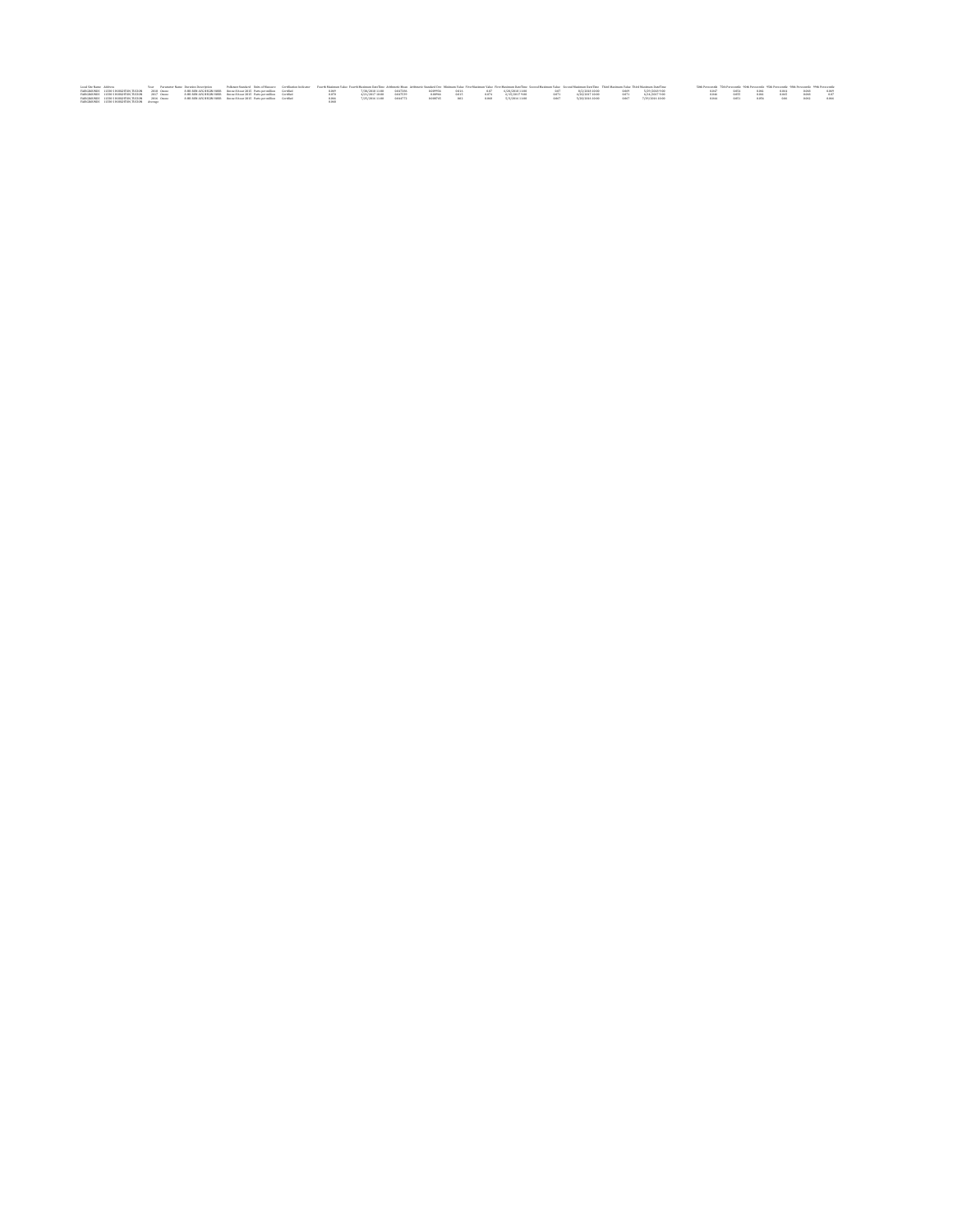|                                                 |  | Local Ste Kame Address New Your Packment Name Duranton Description Policeatodon's Date of Measurer Gertficentes Indiana Value Fourth Maximum Value Archives Measure Make First Maximum Value First Maximum Date First Maximum |  |       |  |                                                             |  |  |                                                                                                            |                       | Sith Personalle 75th Personalle 90th Personalle 95th Personalle 98th Personalle 99th Personalle |  |  |  |
|-------------------------------------------------|--|-------------------------------------------------------------------------------------------------------------------------------------------------------------------------------------------------------------------------------|--|-------|--|-------------------------------------------------------------|--|--|------------------------------------------------------------------------------------------------------------|-----------------------|-------------------------------------------------------------------------------------------------|--|--|--|
|                                                 |  | FAIRGROUNDS 11320 S HOUGHTON, TUCSON 2018 Ossee 9HR RUN AVG REGIN HOUR Ossee 8-boar 2015 Parts per million Gerated                                                                                                            |  |       |  |                                                             |  |  | 0.069 7/20/201811.00 0.047286 0.009934 0.016 0.07 6/20/201811.00 0.07 9/2/201810.00 0.069 5/29/20189.00    |                       | 0.047 0.054 0.061 0.064 0.060 0.069                                                             |  |  |  |
|                                                 |  | FAIRGROUNDS 11320 S HOUGHTON, TUCSON 2017 Ossee 9-HR RUN AVG REGIN HOUR Ossee 8-boar 2015 Parts per million Geratled                                                                                                          |  | 41420 |  |                                                             |  |  | $+$ 4/21/2017 10:00 0.047539 0.00066 0.015 0.074 6/15/2017 9.00 0.071 4/20/2017 10:00 0.071 6/14/2017 9.00 |                       |                                                                                                 |  |  |  |
| FAIRGROUNDS 11230 S HOUGHTON, TUCSON 2016 Ossoe |  | 9-HR RIN AVG REGIN HOUR Oppos 9-hour 2015 Parts per million Gerated                                                                                                                                                           |  |       |  | 7/25/2016 11:00 0.844772 0.009745 0.02 0.048 5/3/2016 11:00 |  |  | 0.047 5/29/2016 10:00                                                                                      | 0.067 7/29/2016 10:00 |                                                                                                 |  |  |  |
| FAIRGROUNDS 11320 S HOUGHTON, TUCSON Average    |  |                                                                                                                                                                                                                               |  |       |  |                                                             |  |  |                                                                                                            |                       |                                                                                                 |  |  |  |
|                                                 |  |                                                                                                                                                                                                                               |  |       |  |                                                             |  |  |                                                                                                            |                       |                                                                                                 |  |  |  |